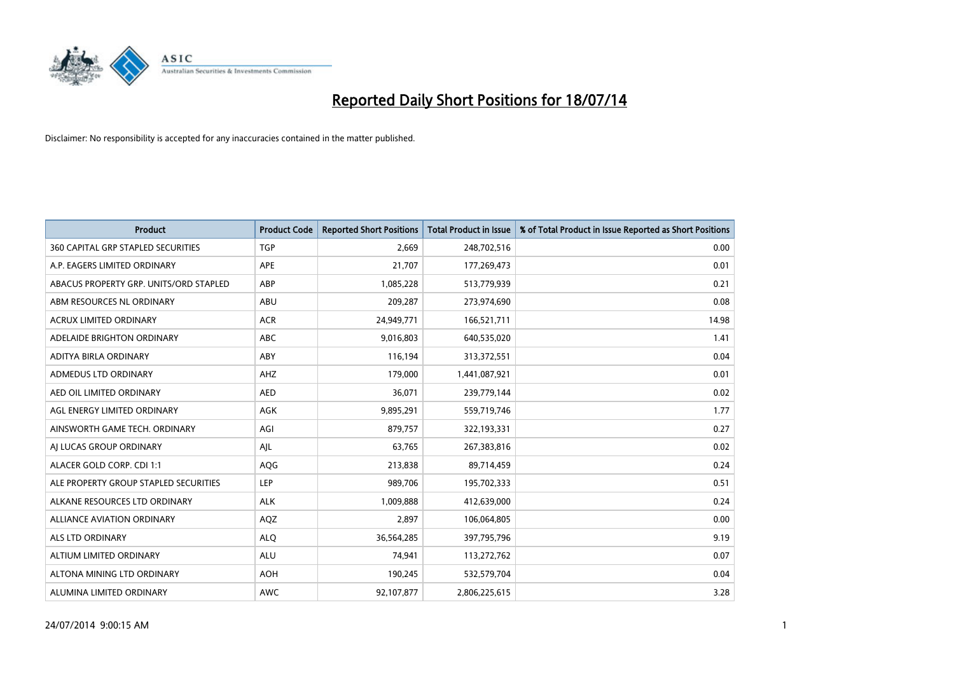

| <b>Product</b>                            | <b>Product Code</b> | <b>Reported Short Positions</b> | <b>Total Product in Issue</b> | % of Total Product in Issue Reported as Short Positions |
|-------------------------------------------|---------------------|---------------------------------|-------------------------------|---------------------------------------------------------|
| <b>360 CAPITAL GRP STAPLED SECURITIES</b> | <b>TGP</b>          | 2,669                           | 248,702,516                   | 0.00                                                    |
| A.P. EAGERS LIMITED ORDINARY              | APE                 | 21,707                          | 177,269,473                   | 0.01                                                    |
| ABACUS PROPERTY GRP. UNITS/ORD STAPLED    | ABP                 | 1,085,228                       | 513,779,939                   | 0.21                                                    |
| ABM RESOURCES NL ORDINARY                 | ABU                 | 209,287                         | 273,974,690                   | 0.08                                                    |
| <b>ACRUX LIMITED ORDINARY</b>             | <b>ACR</b>          | 24,949,771                      | 166,521,711                   | 14.98                                                   |
| ADELAIDE BRIGHTON ORDINARY                | <b>ABC</b>          | 9,016,803                       | 640,535,020                   | 1.41                                                    |
| ADITYA BIRLA ORDINARY                     | ABY                 | 116,194                         | 313,372,551                   | 0.04                                                    |
| ADMEDUS LTD ORDINARY                      | AHZ                 | 179,000                         | 1,441,087,921                 | 0.01                                                    |
| AED OIL LIMITED ORDINARY                  | <b>AED</b>          | 36,071                          | 239,779,144                   | 0.02                                                    |
| AGL ENERGY LIMITED ORDINARY               | <b>AGK</b>          | 9,895,291                       | 559,719,746                   | 1.77                                                    |
| AINSWORTH GAME TECH. ORDINARY             | AGI                 | 879,757                         | 322,193,331                   | 0.27                                                    |
| AI LUCAS GROUP ORDINARY                   | AJL                 | 63,765                          | 267,383,816                   | 0.02                                                    |
| ALACER GOLD CORP. CDI 1:1                 | AQG                 | 213,838                         | 89,714,459                    | 0.24                                                    |
| ALE PROPERTY GROUP STAPLED SECURITIES     | LEP                 | 989,706                         | 195,702,333                   | 0.51                                                    |
| ALKANE RESOURCES LTD ORDINARY             | <b>ALK</b>          | 1,009,888                       | 412,639,000                   | 0.24                                                    |
| ALLIANCE AVIATION ORDINARY                | AQZ                 | 2,897                           | 106,064,805                   | 0.00                                                    |
| ALS LTD ORDINARY                          | <b>ALQ</b>          | 36,564,285                      | 397,795,796                   | 9.19                                                    |
| ALTIUM LIMITED ORDINARY                   | ALU                 | 74,941                          | 113,272,762                   | 0.07                                                    |
| ALTONA MINING LTD ORDINARY                | <b>AOH</b>          | 190,245                         | 532,579,704                   | 0.04                                                    |
| ALUMINA LIMITED ORDINARY                  | <b>AWC</b>          | 92,107,877                      | 2,806,225,615                 | 3.28                                                    |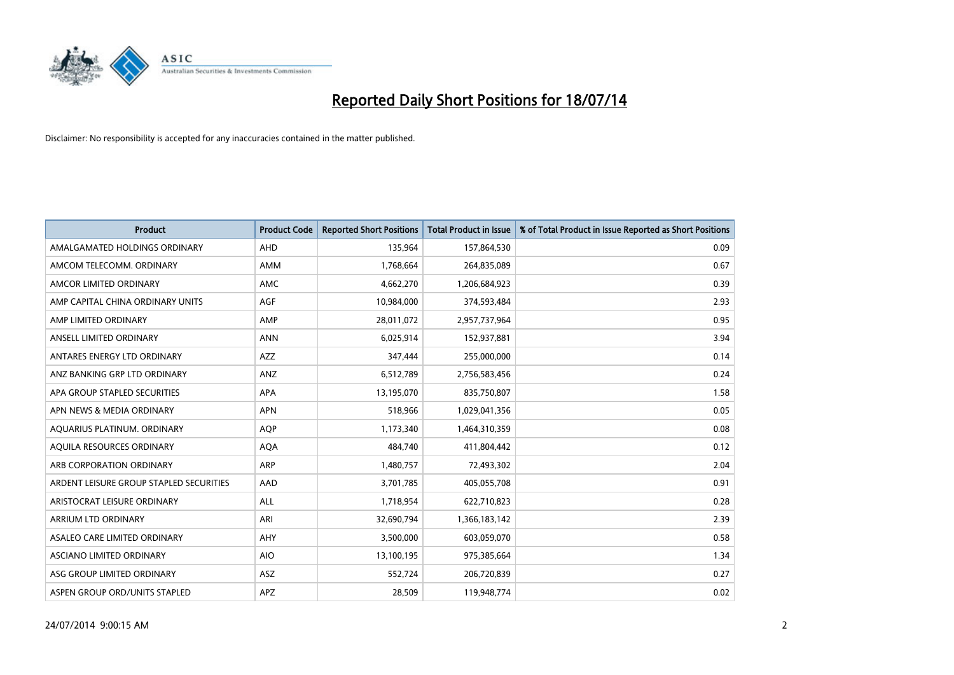

| <b>Product</b>                          | <b>Product Code</b> | <b>Reported Short Positions</b> | <b>Total Product in Issue</b> | % of Total Product in Issue Reported as Short Positions |
|-----------------------------------------|---------------------|---------------------------------|-------------------------------|---------------------------------------------------------|
| AMALGAMATED HOLDINGS ORDINARY           | AHD                 | 135,964                         | 157,864,530                   | 0.09                                                    |
| AMCOM TELECOMM. ORDINARY                | AMM                 | 1,768,664                       | 264,835,089                   | 0.67                                                    |
| AMCOR LIMITED ORDINARY                  | AMC                 | 4,662,270                       | 1,206,684,923                 | 0.39                                                    |
| AMP CAPITAL CHINA ORDINARY UNITS        | AGF                 | 10,984,000                      | 374,593,484                   | 2.93                                                    |
| AMP LIMITED ORDINARY                    | AMP                 | 28,011,072                      | 2,957,737,964                 | 0.95                                                    |
| ANSELL LIMITED ORDINARY                 | <b>ANN</b>          | 6,025,914                       | 152,937,881                   | 3.94                                                    |
| ANTARES ENERGY LTD ORDINARY             | AZZ                 | 347,444                         | 255,000,000                   | 0.14                                                    |
| ANZ BANKING GRP LTD ORDINARY            | ANZ                 | 6,512,789                       | 2,756,583,456                 | 0.24                                                    |
| APA GROUP STAPLED SECURITIES            | <b>APA</b>          | 13,195,070                      | 835,750,807                   | 1.58                                                    |
| APN NEWS & MEDIA ORDINARY               | <b>APN</b>          | 518,966                         | 1,029,041,356                 | 0.05                                                    |
| AQUARIUS PLATINUM. ORDINARY             | <b>AOP</b>          | 1,173,340                       | 1,464,310,359                 | 0.08                                                    |
| AQUILA RESOURCES ORDINARY               | <b>AQA</b>          | 484,740                         | 411,804,442                   | 0.12                                                    |
| ARB CORPORATION ORDINARY                | ARP                 | 1,480,757                       | 72,493,302                    | 2.04                                                    |
| ARDENT LEISURE GROUP STAPLED SECURITIES | AAD                 | 3,701,785                       | 405,055,708                   | 0.91                                                    |
| ARISTOCRAT LEISURE ORDINARY             | <b>ALL</b>          | 1,718,954                       | 622,710,823                   | 0.28                                                    |
| ARRIUM LTD ORDINARY                     | ARI                 | 32,690,794                      | 1,366,183,142                 | 2.39                                                    |
| ASALEO CARE LIMITED ORDINARY            | AHY                 | 3,500,000                       | 603,059,070                   | 0.58                                                    |
| ASCIANO LIMITED ORDINARY                | <b>AIO</b>          | 13,100,195                      | 975,385,664                   | 1.34                                                    |
| ASG GROUP LIMITED ORDINARY              | ASZ                 | 552,724                         | 206,720,839                   | 0.27                                                    |
| ASPEN GROUP ORD/UNITS STAPLED           | APZ                 | 28,509                          | 119,948,774                   | 0.02                                                    |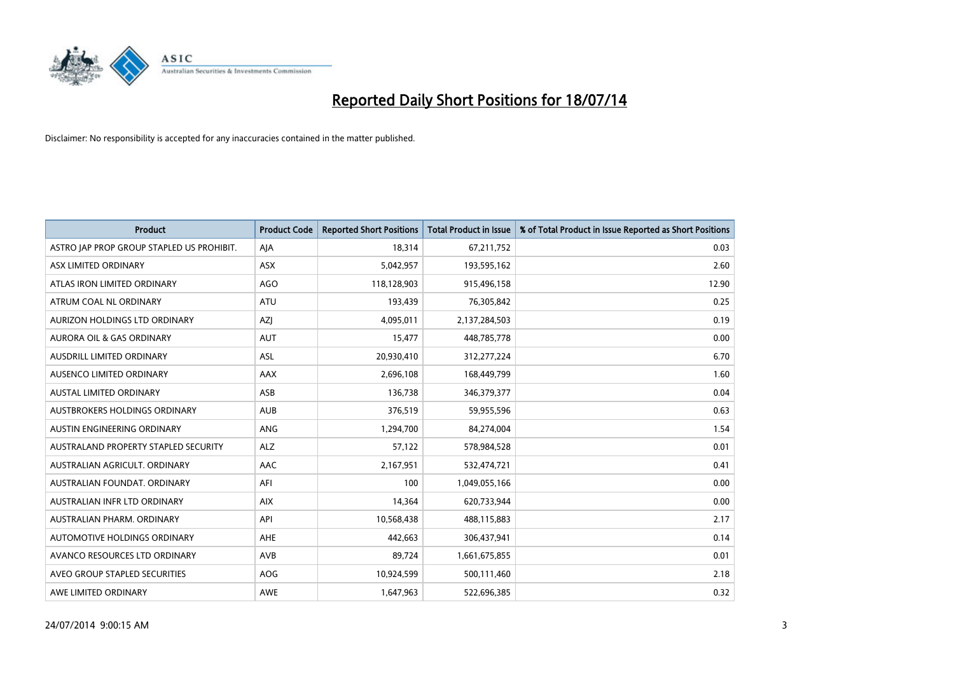

| <b>Product</b>                            | <b>Product Code</b> | <b>Reported Short Positions</b> | <b>Total Product in Issue</b> | % of Total Product in Issue Reported as Short Positions |
|-------------------------------------------|---------------------|---------------------------------|-------------------------------|---------------------------------------------------------|
| ASTRO JAP PROP GROUP STAPLED US PROHIBIT. | AJA                 | 18,314                          | 67,211,752                    | 0.03                                                    |
| ASX LIMITED ORDINARY                      | ASX                 | 5,042,957                       | 193,595,162                   | 2.60                                                    |
| ATLAS IRON LIMITED ORDINARY               | AGO                 | 118,128,903                     | 915,496,158                   | 12.90                                                   |
| ATRUM COAL NL ORDINARY                    | ATU                 | 193,439                         | 76,305,842                    | 0.25                                                    |
| AURIZON HOLDINGS LTD ORDINARY             | <b>AZI</b>          | 4,095,011                       | 2,137,284,503                 | 0.19                                                    |
| <b>AURORA OIL &amp; GAS ORDINARY</b>      | <b>AUT</b>          | 15,477                          | 448,785,778                   | 0.00                                                    |
| AUSDRILL LIMITED ORDINARY                 | ASL                 | 20,930,410                      | 312,277,224                   | 6.70                                                    |
| AUSENCO LIMITED ORDINARY                  | AAX                 | 2,696,108                       | 168,449,799                   | 1.60                                                    |
| <b>AUSTAL LIMITED ORDINARY</b>            | ASB                 | 136,738                         | 346,379,377                   | 0.04                                                    |
| AUSTBROKERS HOLDINGS ORDINARY             | <b>AUB</b>          | 376,519                         | 59,955,596                    | 0.63                                                    |
| AUSTIN ENGINEERING ORDINARY               | ANG                 | 1,294,700                       | 84,274,004                    | 1.54                                                    |
| AUSTRALAND PROPERTY STAPLED SECURITY      | <b>ALZ</b>          | 57,122                          | 578,984,528                   | 0.01                                                    |
| AUSTRALIAN AGRICULT. ORDINARY             | AAC                 | 2,167,951                       | 532,474,721                   | 0.41                                                    |
| AUSTRALIAN FOUNDAT, ORDINARY              | AFI                 | 100                             | 1,049,055,166                 | 0.00                                                    |
| AUSTRALIAN INFR LTD ORDINARY              | <b>AIX</b>          | 14,364                          | 620,733,944                   | 0.00                                                    |
| AUSTRALIAN PHARM. ORDINARY                | API                 | 10,568,438                      | 488,115,883                   | 2.17                                                    |
| AUTOMOTIVE HOLDINGS ORDINARY              | AHE                 | 442,663                         | 306,437,941                   | 0.14                                                    |
| AVANCO RESOURCES LTD ORDINARY             | AVB                 | 89,724                          | 1,661,675,855                 | 0.01                                                    |
| AVEO GROUP STAPLED SECURITIES             | <b>AOG</b>          | 10,924,599                      | 500,111,460                   | 2.18                                                    |
| AWE LIMITED ORDINARY                      | AWE                 | 1,647,963                       | 522,696,385                   | 0.32                                                    |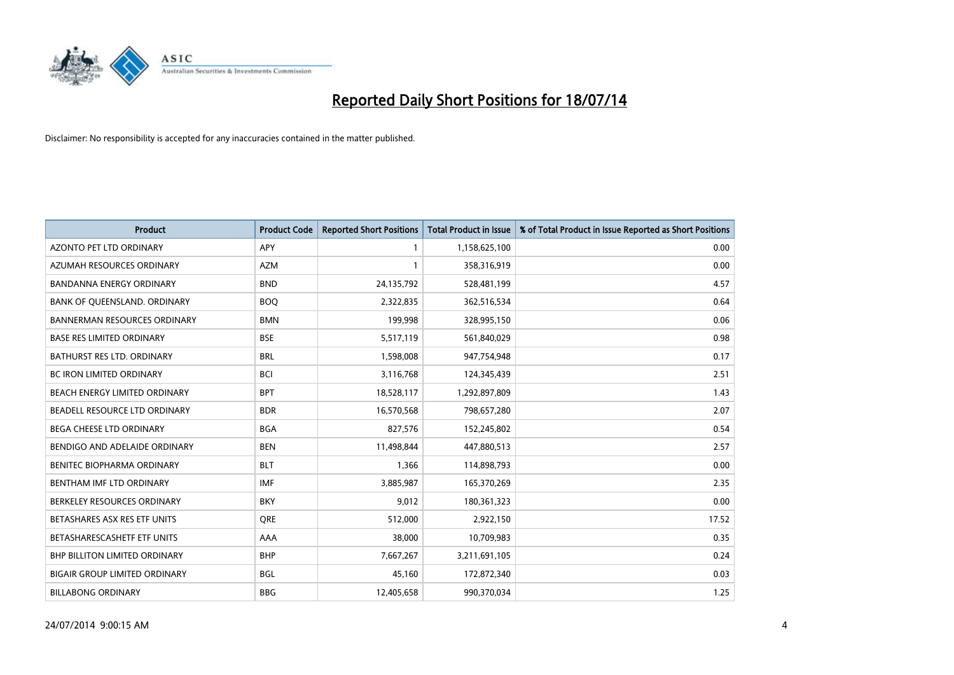

| <b>Product</b>                       | <b>Product Code</b> | <b>Reported Short Positions</b> | <b>Total Product in Issue</b> | % of Total Product in Issue Reported as Short Positions |
|--------------------------------------|---------------------|---------------------------------|-------------------------------|---------------------------------------------------------|
| AZONTO PET LTD ORDINARY              | <b>APY</b>          | 1                               | 1,158,625,100                 | 0.00                                                    |
| AZUMAH RESOURCES ORDINARY            | AZM                 | $\mathbf{1}$                    | 358,316,919                   | 0.00                                                    |
| <b>BANDANNA ENERGY ORDINARY</b>      | <b>BND</b>          | 24,135,792                      | 528,481,199                   | 4.57                                                    |
| BANK OF QUEENSLAND. ORDINARY         | <b>BOO</b>          | 2,322,835                       | 362,516,534                   | 0.64                                                    |
| <b>BANNERMAN RESOURCES ORDINARY</b>  | <b>BMN</b>          | 199,998                         | 328,995,150                   | 0.06                                                    |
| <b>BASE RES LIMITED ORDINARY</b>     | <b>BSE</b>          | 5,517,119                       | 561,840,029                   | 0.98                                                    |
| BATHURST RES LTD. ORDINARY           | <b>BRL</b>          | 1,598,008                       | 947,754,948                   | 0.17                                                    |
| <b>BC IRON LIMITED ORDINARY</b>      | <b>BCI</b>          | 3,116,768                       | 124,345,439                   | 2.51                                                    |
| BEACH ENERGY LIMITED ORDINARY        | <b>BPT</b>          | 18,528,117                      | 1,292,897,809                 | 1.43                                                    |
| BEADELL RESOURCE LTD ORDINARY        | <b>BDR</b>          | 16,570,568                      | 798,657,280                   | 2.07                                                    |
| BEGA CHEESE LTD ORDINARY             | <b>BGA</b>          | 827,576                         | 152,245,802                   | 0.54                                                    |
| BENDIGO AND ADELAIDE ORDINARY        | <b>BEN</b>          | 11,498,844                      | 447,880,513                   | 2.57                                                    |
| BENITEC BIOPHARMA ORDINARY           | <b>BLT</b>          | 1,366                           | 114,898,793                   | 0.00                                                    |
| BENTHAM IMF LTD ORDINARY             | <b>IMF</b>          | 3,885,987                       | 165,370,269                   | 2.35                                                    |
| BERKELEY RESOURCES ORDINARY          | <b>BKY</b>          | 9,012                           | 180,361,323                   | 0.00                                                    |
| BETASHARES ASX RES ETF UNITS         | <b>ORE</b>          | 512,000                         | 2,922,150                     | 17.52                                                   |
| BETASHARESCASHETF ETF UNITS          | AAA                 | 38,000                          | 10,709,983                    | 0.35                                                    |
| <b>BHP BILLITON LIMITED ORDINARY</b> | <b>BHP</b>          | 7,667,267                       | 3,211,691,105                 | 0.24                                                    |
| <b>BIGAIR GROUP LIMITED ORDINARY</b> | <b>BGL</b>          | 45,160                          | 172,872,340                   | 0.03                                                    |
| <b>BILLABONG ORDINARY</b>            | <b>BBG</b>          | 12,405,658                      | 990,370,034                   | 1.25                                                    |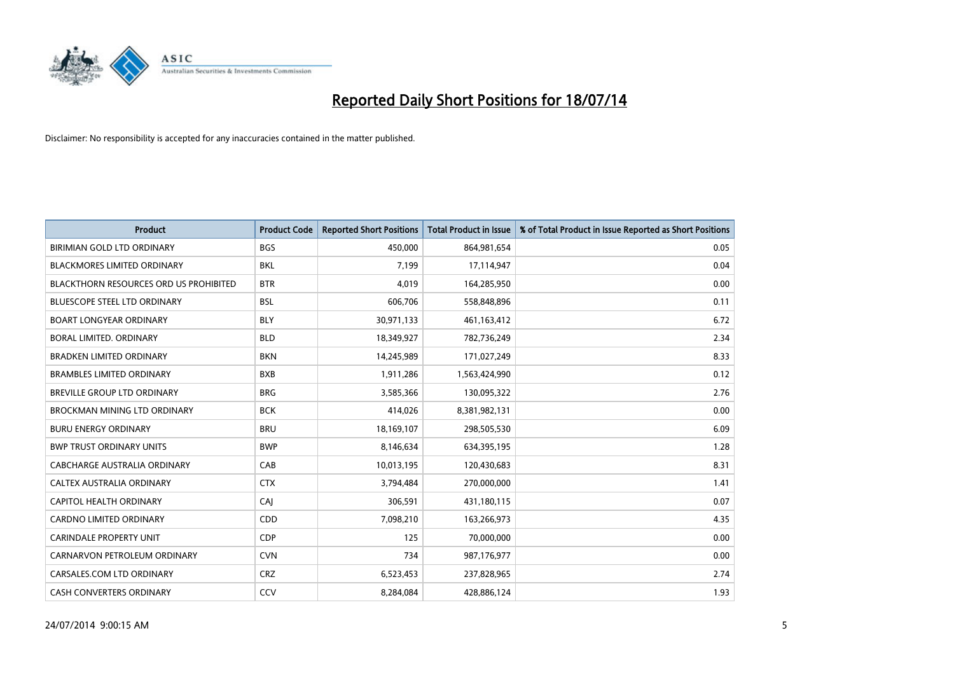

| <b>Product</b>                                | <b>Product Code</b> | <b>Reported Short Positions</b> | <b>Total Product in Issue</b> | % of Total Product in Issue Reported as Short Positions |
|-----------------------------------------------|---------------------|---------------------------------|-------------------------------|---------------------------------------------------------|
| BIRIMIAN GOLD LTD ORDINARY                    | <b>BGS</b>          | 450,000                         | 864,981,654                   | 0.05                                                    |
| BLACKMORES LIMITED ORDINARY                   | BKL                 | 7,199                           | 17,114,947                    | 0.04                                                    |
| <b>BLACKTHORN RESOURCES ORD US PROHIBITED</b> | <b>BTR</b>          | 4.019                           | 164,285,950                   | 0.00                                                    |
| <b>BLUESCOPE STEEL LTD ORDINARY</b>           | <b>BSL</b>          | 606,706                         | 558,848,896                   | 0.11                                                    |
| <b>BOART LONGYEAR ORDINARY</b>                | <b>BLY</b>          | 30,971,133                      | 461,163,412                   | 6.72                                                    |
| <b>BORAL LIMITED, ORDINARY</b>                | <b>BLD</b>          | 18,349,927                      | 782,736,249                   | 2.34                                                    |
| <b>BRADKEN LIMITED ORDINARY</b>               | <b>BKN</b>          | 14,245,989                      | 171,027,249                   | 8.33                                                    |
| <b>BRAMBLES LIMITED ORDINARY</b>              | <b>BXB</b>          | 1,911,286                       | 1,563,424,990                 | 0.12                                                    |
| <b>BREVILLE GROUP LTD ORDINARY</b>            | <b>BRG</b>          | 3,585,366                       | 130,095,322                   | 2.76                                                    |
| <b>BROCKMAN MINING LTD ORDINARY</b>           | <b>BCK</b>          | 414,026                         | 8,381,982,131                 | 0.00                                                    |
| <b>BURU ENERGY ORDINARY</b>                   | <b>BRU</b>          | 18,169,107                      | 298,505,530                   | 6.09                                                    |
| <b>BWP TRUST ORDINARY UNITS</b>               | <b>BWP</b>          | 8,146,634                       | 634,395,195                   | 1.28                                                    |
| <b>CABCHARGE AUSTRALIA ORDINARY</b>           | CAB                 | 10,013,195                      | 120,430,683                   | 8.31                                                    |
| CALTEX AUSTRALIA ORDINARY                     | <b>CTX</b>          | 3,794,484                       | 270,000,000                   | 1.41                                                    |
| <b>CAPITOL HEALTH ORDINARY</b>                | CAJ                 | 306,591                         | 431,180,115                   | 0.07                                                    |
| CARDNO LIMITED ORDINARY                       | CDD                 | 7,098,210                       | 163,266,973                   | 4.35                                                    |
| <b>CARINDALE PROPERTY UNIT</b>                | <b>CDP</b>          | 125                             | 70,000,000                    | 0.00                                                    |
| CARNARVON PETROLEUM ORDINARY                  | <b>CVN</b>          | 734                             | 987,176,977                   | 0.00                                                    |
| CARSALES.COM LTD ORDINARY                     | <b>CRZ</b>          | 6,523,453                       | 237,828,965                   | 2.74                                                    |
| CASH CONVERTERS ORDINARY                      | CCV                 | 8,284,084                       | 428,886,124                   | 1.93                                                    |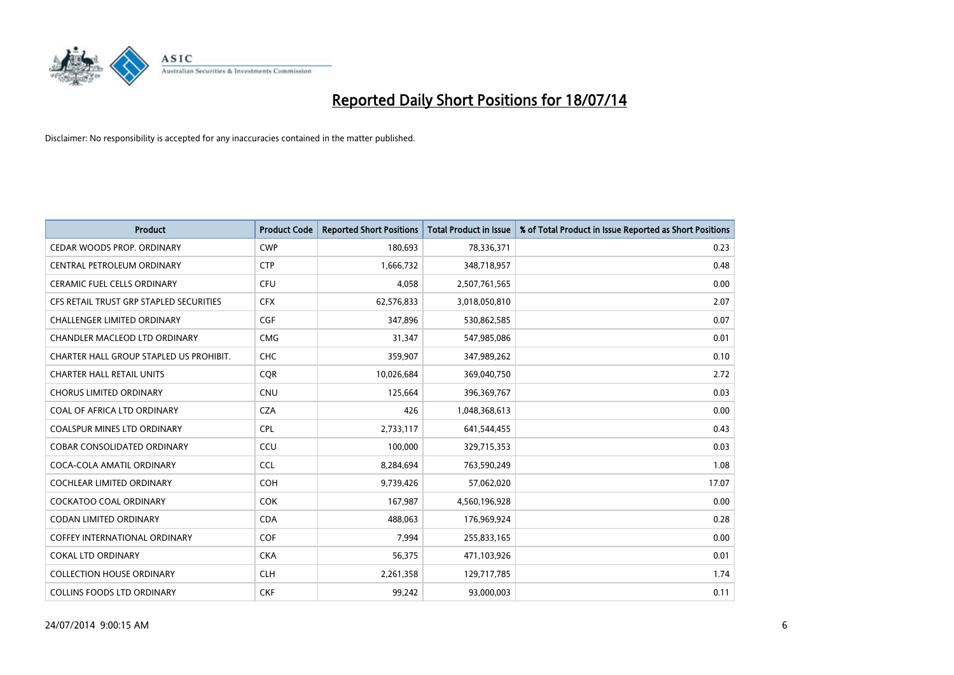

| <b>Product</b>                          | <b>Product Code</b> | <b>Reported Short Positions</b> | <b>Total Product in Issue</b> | % of Total Product in Issue Reported as Short Positions |
|-----------------------------------------|---------------------|---------------------------------|-------------------------------|---------------------------------------------------------|
| CEDAR WOODS PROP. ORDINARY              | <b>CWP</b>          | 180,693                         | 78,336,371                    | 0.23                                                    |
| CENTRAL PETROLEUM ORDINARY              | <b>CTP</b>          | 1,666,732                       | 348,718,957                   | 0.48                                                    |
| <b>CERAMIC FUEL CELLS ORDINARY</b>      | <b>CFU</b>          | 4,058                           | 2,507,761,565                 | 0.00                                                    |
| CFS RETAIL TRUST GRP STAPLED SECURITIES | <b>CFX</b>          | 62,576,833                      | 3,018,050,810                 | 2.07                                                    |
| <b>CHALLENGER LIMITED ORDINARY</b>      | CGF                 | 347,896                         | 530,862,585                   | 0.07                                                    |
| CHANDLER MACLEOD LTD ORDINARY           | <b>CMG</b>          | 31,347                          | 547,985,086                   | 0.01                                                    |
| CHARTER HALL GROUP STAPLED US PROHIBIT. | <b>CHC</b>          | 359,907                         | 347,989,262                   | 0.10                                                    |
| <b>CHARTER HALL RETAIL UNITS</b>        | <b>COR</b>          | 10,026,684                      | 369,040,750                   | 2.72                                                    |
| <b>CHORUS LIMITED ORDINARY</b>          | <b>CNU</b>          | 125,664                         | 396,369,767                   | 0.03                                                    |
| COAL OF AFRICA LTD ORDINARY             | <b>CZA</b>          | 426                             | 1,048,368,613                 | 0.00                                                    |
| COALSPUR MINES LTD ORDINARY             | <b>CPL</b>          | 2,733,117                       | 641,544,455                   | 0.43                                                    |
| <b>COBAR CONSOLIDATED ORDINARY</b>      | CCU                 | 100,000                         | 329,715,353                   | 0.03                                                    |
| COCA-COLA AMATIL ORDINARY               | <b>CCL</b>          | 8,284,694                       | 763,590,249                   | 1.08                                                    |
| COCHLEAR LIMITED ORDINARY               | <b>COH</b>          | 9,739,426                       | 57,062,020                    | 17.07                                                   |
| <b>COCKATOO COAL ORDINARY</b>           | <b>COK</b>          | 167,987                         | 4,560,196,928                 | 0.00                                                    |
| CODAN LIMITED ORDINARY                  | <b>CDA</b>          | 488,063                         | 176,969,924                   | 0.28                                                    |
| COFFEY INTERNATIONAL ORDINARY           | <b>COF</b>          | 7,994                           | 255,833,165                   | 0.00                                                    |
| <b>COKAL LTD ORDINARY</b>               | <b>CKA</b>          | 56,375                          | 471,103,926                   | 0.01                                                    |
| <b>COLLECTION HOUSE ORDINARY</b>        | <b>CLH</b>          | 2,261,358                       | 129,717,785                   | 1.74                                                    |
| <b>COLLINS FOODS LTD ORDINARY</b>       | <b>CKF</b>          | 99,242                          | 93,000,003                    | 0.11                                                    |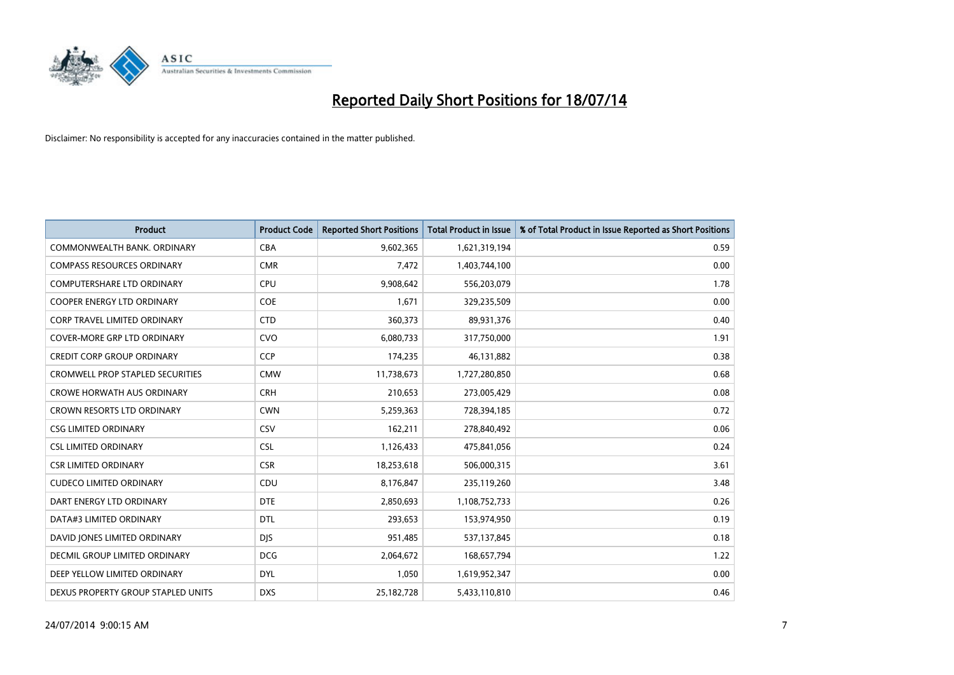

| <b>Product</b>                          | <b>Product Code</b> | <b>Reported Short Positions</b> | <b>Total Product in Issue</b> | % of Total Product in Issue Reported as Short Positions |
|-----------------------------------------|---------------------|---------------------------------|-------------------------------|---------------------------------------------------------|
| COMMONWEALTH BANK, ORDINARY             | <b>CBA</b>          | 9,602,365                       | 1,621,319,194                 | 0.59                                                    |
| <b>COMPASS RESOURCES ORDINARY</b>       | <b>CMR</b>          | 7,472                           | 1,403,744,100                 | 0.00                                                    |
| <b>COMPUTERSHARE LTD ORDINARY</b>       | <b>CPU</b>          | 9,908,642                       | 556,203,079                   | 1.78                                                    |
| COOPER ENERGY LTD ORDINARY              | <b>COE</b>          | 1,671                           | 329,235,509                   | 0.00                                                    |
| CORP TRAVEL LIMITED ORDINARY            | <b>CTD</b>          | 360,373                         | 89,931,376                    | 0.40                                                    |
| <b>COVER-MORE GRP LTD ORDINARY</b>      | <b>CVO</b>          | 6,080,733                       | 317,750,000                   | 1.91                                                    |
| <b>CREDIT CORP GROUP ORDINARY</b>       | <b>CCP</b>          | 174,235                         | 46,131,882                    | 0.38                                                    |
| <b>CROMWELL PROP STAPLED SECURITIES</b> | <b>CMW</b>          | 11,738,673                      | 1,727,280,850                 | 0.68                                                    |
| <b>CROWE HORWATH AUS ORDINARY</b>       | <b>CRH</b>          | 210,653                         | 273,005,429                   | 0.08                                                    |
| <b>CROWN RESORTS LTD ORDINARY</b>       | <b>CWN</b>          | 5,259,363                       | 728,394,185                   | 0.72                                                    |
| <b>CSG LIMITED ORDINARY</b>             | CSV                 | 162,211                         | 278,840,492                   | 0.06                                                    |
| <b>CSL LIMITED ORDINARY</b>             | CSL                 | 1,126,433                       | 475,841,056                   | 0.24                                                    |
| <b>CSR LIMITED ORDINARY</b>             | <b>CSR</b>          | 18,253,618                      | 506,000,315                   | 3.61                                                    |
| <b>CUDECO LIMITED ORDINARY</b>          | CDU                 | 8,176,847                       | 235,119,260                   | 3.48                                                    |
| DART ENERGY LTD ORDINARY                | <b>DTE</b>          | 2,850,693                       | 1,108,752,733                 | 0.26                                                    |
| DATA#3 LIMITED ORDINARY                 | <b>DTL</b>          | 293,653                         | 153,974,950                   | 0.19                                                    |
| DAVID JONES LIMITED ORDINARY            | <b>DJS</b>          | 951,485                         | 537,137,845                   | 0.18                                                    |
| <b>DECMIL GROUP LIMITED ORDINARY</b>    | <b>DCG</b>          | 2,064,672                       | 168,657,794                   | 1.22                                                    |
| DEEP YELLOW LIMITED ORDINARY            | <b>DYL</b>          | 1,050                           | 1,619,952,347                 | 0.00                                                    |
| DEXUS PROPERTY GROUP STAPLED UNITS      | <b>DXS</b>          | 25,182,728                      | 5,433,110,810                 | 0.46                                                    |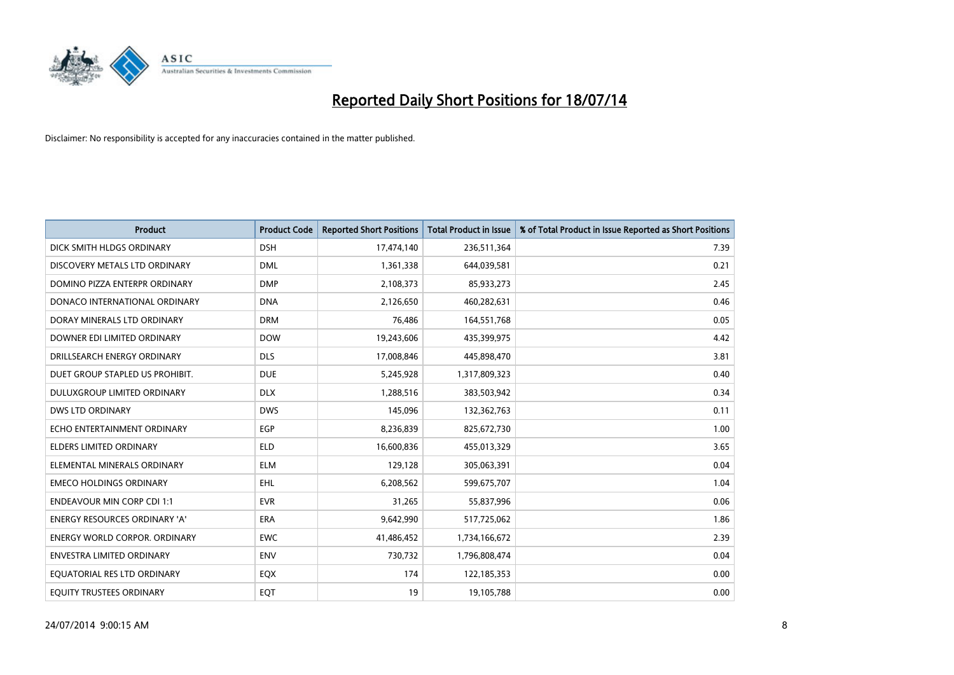

| <b>Product</b>                       | <b>Product Code</b> | <b>Reported Short Positions</b> | <b>Total Product in Issue</b> | % of Total Product in Issue Reported as Short Positions |
|--------------------------------------|---------------------|---------------------------------|-------------------------------|---------------------------------------------------------|
| DICK SMITH HLDGS ORDINARY            | <b>DSH</b>          | 17,474,140                      | 236,511,364                   | 7.39                                                    |
| DISCOVERY METALS LTD ORDINARY        | <b>DML</b>          | 1,361,338                       | 644,039,581                   | 0.21                                                    |
| DOMINO PIZZA ENTERPR ORDINARY        | <b>DMP</b>          | 2,108,373                       | 85,933,273                    | 2.45                                                    |
| DONACO INTERNATIONAL ORDINARY        | <b>DNA</b>          | 2,126,650                       | 460,282,631                   | 0.46                                                    |
| DORAY MINERALS LTD ORDINARY          | <b>DRM</b>          | 76,486                          | 164,551,768                   | 0.05                                                    |
| DOWNER EDI LIMITED ORDINARY          | <b>DOW</b>          | 19,243,606                      | 435,399,975                   | 4.42                                                    |
| DRILLSEARCH ENERGY ORDINARY          | <b>DLS</b>          | 17,008,846                      | 445,898,470                   | 3.81                                                    |
| DUET GROUP STAPLED US PROHIBIT.      | <b>DUE</b>          | 5,245,928                       | 1,317,809,323                 | 0.40                                                    |
| DULUXGROUP LIMITED ORDINARY          | <b>DLX</b>          | 1,288,516                       | 383,503,942                   | 0.34                                                    |
| <b>DWS LTD ORDINARY</b>              | <b>DWS</b>          | 145,096                         | 132,362,763                   | 0.11                                                    |
| ECHO ENTERTAINMENT ORDINARY          | <b>EGP</b>          | 8,236,839                       | 825,672,730                   | 1.00                                                    |
| <b>ELDERS LIMITED ORDINARY</b>       | <b>ELD</b>          | 16,600,836                      | 455,013,329                   | 3.65                                                    |
| ELEMENTAL MINERALS ORDINARY          | <b>ELM</b>          | 129,128                         | 305,063,391                   | 0.04                                                    |
| <b>EMECO HOLDINGS ORDINARY</b>       | <b>EHL</b>          | 6,208,562                       | 599,675,707                   | 1.04                                                    |
| <b>ENDEAVOUR MIN CORP CDI 1:1</b>    | <b>EVR</b>          | 31,265                          | 55,837,996                    | 0.06                                                    |
| ENERGY RESOURCES ORDINARY 'A'        | ERA                 | 9,642,990                       | 517,725,062                   | 1.86                                                    |
| <b>ENERGY WORLD CORPOR. ORDINARY</b> | <b>EWC</b>          | 41,486,452                      | 1,734,166,672                 | 2.39                                                    |
| <b>ENVESTRA LIMITED ORDINARY</b>     | <b>ENV</b>          | 730,732                         | 1,796,808,474                 | 0.04                                                    |
| EQUATORIAL RES LTD ORDINARY          | EQX                 | 174                             | 122,185,353                   | 0.00                                                    |
| EQUITY TRUSTEES ORDINARY             | EQT                 | 19                              | 19,105,788                    | 0.00                                                    |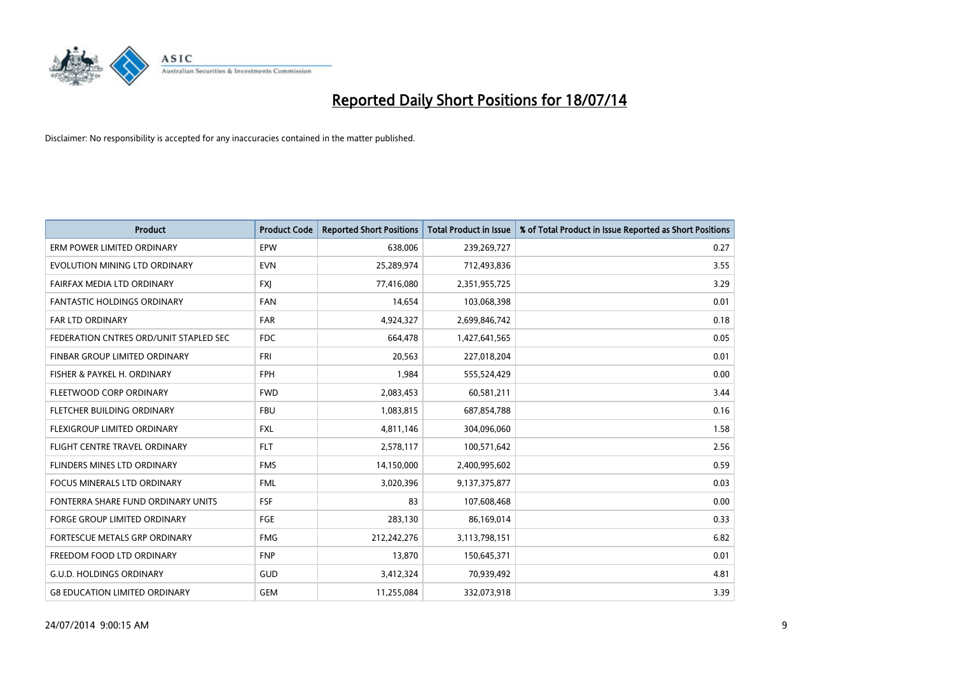

| <b>Product</b>                         | <b>Product Code</b> | <b>Reported Short Positions</b> | <b>Total Product in Issue</b> | % of Total Product in Issue Reported as Short Positions |
|----------------------------------------|---------------------|---------------------------------|-------------------------------|---------------------------------------------------------|
| ERM POWER LIMITED ORDINARY             | <b>EPW</b>          | 638,006                         | 239,269,727                   | 0.27                                                    |
| EVOLUTION MINING LTD ORDINARY          | <b>EVN</b>          | 25,289,974                      | 712,493,836                   | 3.55                                                    |
| FAIRFAX MEDIA LTD ORDINARY             | <b>FXI</b>          | 77,416,080                      | 2,351,955,725                 | 3.29                                                    |
| FANTASTIC HOLDINGS ORDINARY            | <b>FAN</b>          | 14,654                          | 103,068,398                   | 0.01                                                    |
| <b>FAR LTD ORDINARY</b>                | <b>FAR</b>          | 4,924,327                       | 2,699,846,742                 | 0.18                                                    |
| FEDERATION CNTRES ORD/UNIT STAPLED SEC | <b>FDC</b>          | 664,478                         | 1,427,641,565                 | 0.05                                                    |
| FINBAR GROUP LIMITED ORDINARY          | <b>FRI</b>          | 20,563                          | 227,018,204                   | 0.01                                                    |
| FISHER & PAYKEL H. ORDINARY            | <b>FPH</b>          | 1,984                           | 555,524,429                   | 0.00                                                    |
| FLEETWOOD CORP ORDINARY                | <b>FWD</b>          | 2,083,453                       | 60,581,211                    | 3.44                                                    |
| FLETCHER BUILDING ORDINARY             | <b>FBU</b>          | 1,083,815                       | 687,854,788                   | 0.16                                                    |
| FLEXIGROUP LIMITED ORDINARY            | <b>FXL</b>          | 4,811,146                       | 304,096,060                   | 1.58                                                    |
| FLIGHT CENTRE TRAVEL ORDINARY          | <b>FLT</b>          | 2,578,117                       | 100,571,642                   | 2.56                                                    |
| FLINDERS MINES LTD ORDINARY            | <b>FMS</b>          | 14,150,000                      | 2,400,995,602                 | 0.59                                                    |
| <b>FOCUS MINERALS LTD ORDINARY</b>     | <b>FML</b>          | 3,020,396                       | 9,137,375,877                 | 0.03                                                    |
| FONTERRA SHARE FUND ORDINARY UNITS     | <b>FSF</b>          | 83                              | 107,608,468                   | 0.00                                                    |
| FORGE GROUP LIMITED ORDINARY           | FGE                 | 283,130                         | 86,169,014                    | 0.33                                                    |
| FORTESCUE METALS GRP ORDINARY          | <b>FMG</b>          | 212,242,276                     | 3,113,798,151                 | 6.82                                                    |
| FREEDOM FOOD LTD ORDINARY              | <b>FNP</b>          | 13,870                          | 150,645,371                   | 0.01                                                    |
| <b>G.U.D. HOLDINGS ORDINARY</b>        | GUD                 | 3,412,324                       | 70,939,492                    | 4.81                                                    |
| <b>G8 EDUCATION LIMITED ORDINARY</b>   | <b>GEM</b>          | 11,255,084                      | 332,073,918                   | 3.39                                                    |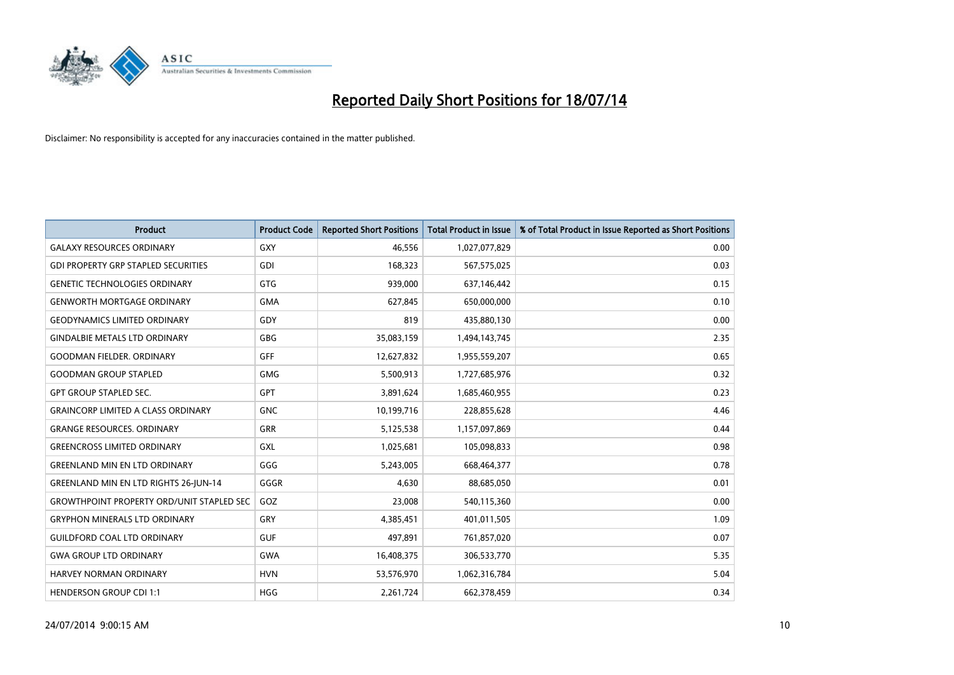

| <b>Product</b>                                   | <b>Product Code</b> | <b>Reported Short Positions</b> | <b>Total Product in Issue</b> | % of Total Product in Issue Reported as Short Positions |
|--------------------------------------------------|---------------------|---------------------------------|-------------------------------|---------------------------------------------------------|
| <b>GALAXY RESOURCES ORDINARY</b>                 | GXY                 | 46,556                          | 1,027,077,829                 | 0.00                                                    |
| <b>GDI PROPERTY GRP STAPLED SECURITIES</b>       | GDI                 | 168,323                         | 567,575,025                   | 0.03                                                    |
| <b>GENETIC TECHNOLOGIES ORDINARY</b>             | GTG                 | 939,000                         | 637,146,442                   | 0.15                                                    |
| <b>GENWORTH MORTGAGE ORDINARY</b>                | <b>GMA</b>          | 627,845                         | 650,000,000                   | 0.10                                                    |
| <b>GEODYNAMICS LIMITED ORDINARY</b>              | GDY                 | 819                             | 435,880,130                   | 0.00                                                    |
| <b>GINDALBIE METALS LTD ORDINARY</b>             | GBG                 | 35,083,159                      | 1,494,143,745                 | 2.35                                                    |
| <b>GOODMAN FIELDER, ORDINARY</b>                 | <b>GFF</b>          | 12,627,832                      | 1,955,559,207                 | 0.65                                                    |
| <b>GOODMAN GROUP STAPLED</b>                     | <b>GMG</b>          | 5,500,913                       | 1,727,685,976                 | 0.32                                                    |
| <b>GPT GROUP STAPLED SEC.</b>                    | GPT                 | 3,891,624                       | 1,685,460,955                 | 0.23                                                    |
| <b>GRAINCORP LIMITED A CLASS ORDINARY</b>        | <b>GNC</b>          | 10,199,716                      | 228,855,628                   | 4.46                                                    |
| <b>GRANGE RESOURCES. ORDINARY</b>                | GRR                 | 5,125,538                       | 1,157,097,869                 | 0.44                                                    |
| <b>GREENCROSS LIMITED ORDINARY</b>               | <b>GXL</b>          | 1,025,681                       | 105,098,833                   | 0.98                                                    |
| <b>GREENLAND MIN EN LTD ORDINARY</b>             | GGG                 | 5,243,005                       | 668,464,377                   | 0.78                                                    |
| <b>GREENLAND MIN EN LTD RIGHTS 26-JUN-14</b>     | GGGR                | 4,630                           | 88,685,050                    | 0.01                                                    |
| <b>GROWTHPOINT PROPERTY ORD/UNIT STAPLED SEC</b> | GOZ                 | 23,008                          | 540,115,360                   | 0.00                                                    |
| <b>GRYPHON MINERALS LTD ORDINARY</b>             | GRY                 | 4,385,451                       | 401,011,505                   | 1.09                                                    |
| <b>GUILDFORD COAL LTD ORDINARY</b>               | <b>GUF</b>          | 497,891                         | 761,857,020                   | 0.07                                                    |
| <b>GWA GROUP LTD ORDINARY</b>                    | <b>GWA</b>          | 16,408,375                      | 306,533,770                   | 5.35                                                    |
| HARVEY NORMAN ORDINARY                           | <b>HVN</b>          | 53,576,970                      | 1,062,316,784                 | 5.04                                                    |
| <b>HENDERSON GROUP CDI 1:1</b>                   | <b>HGG</b>          | 2,261,724                       | 662,378,459                   | 0.34                                                    |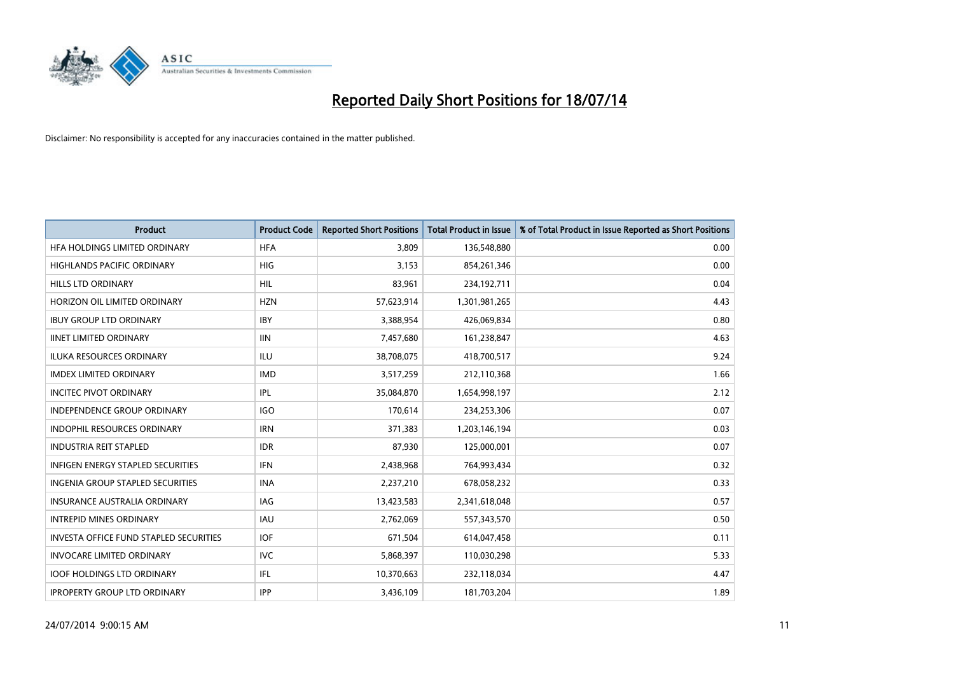

| <b>Product</b>                                | <b>Product Code</b> | <b>Reported Short Positions</b> | <b>Total Product in Issue</b> | % of Total Product in Issue Reported as Short Positions |
|-----------------------------------------------|---------------------|---------------------------------|-------------------------------|---------------------------------------------------------|
| HFA HOLDINGS LIMITED ORDINARY                 | <b>HFA</b>          | 3.809                           | 136,548,880                   | 0.00                                                    |
| HIGHLANDS PACIFIC ORDINARY                    | HIG                 | 3,153                           | 854,261,346                   | 0.00                                                    |
| <b>HILLS LTD ORDINARY</b>                     | <b>HIL</b>          | 83,961                          | 234,192,711                   | 0.04                                                    |
| HORIZON OIL LIMITED ORDINARY                  | <b>HZN</b>          | 57,623,914                      | 1,301,981,265                 | 4.43                                                    |
| <b>IBUY GROUP LTD ORDINARY</b>                | <b>IBY</b>          | 3,388,954                       | 426,069,834                   | 0.80                                                    |
| <b>IINET LIMITED ORDINARY</b>                 | <b>IIN</b>          | 7,457,680                       | 161,238,847                   | 4.63                                                    |
| <b>ILUKA RESOURCES ORDINARY</b>               | ILU                 | 38,708,075                      | 418,700,517                   | 9.24                                                    |
| <b>IMDEX LIMITED ORDINARY</b>                 | <b>IMD</b>          | 3,517,259                       | 212,110,368                   | 1.66                                                    |
| <b>INCITEC PIVOT ORDINARY</b>                 | IPL                 | 35,084,870                      | 1,654,998,197                 | 2.12                                                    |
| <b>INDEPENDENCE GROUP ORDINARY</b>            | <b>IGO</b>          | 170,614                         | 234,253,306                   | 0.07                                                    |
| <b>INDOPHIL RESOURCES ORDINARY</b>            | <b>IRN</b>          | 371,383                         | 1,203,146,194                 | 0.03                                                    |
| <b>INDUSTRIA REIT STAPLED</b>                 | <b>IDR</b>          | 87,930                          | 125,000,001                   | 0.07                                                    |
| <b>INFIGEN ENERGY STAPLED SECURITIES</b>      | <b>IFN</b>          | 2,438,968                       | 764,993,434                   | 0.32                                                    |
| <b>INGENIA GROUP STAPLED SECURITIES</b>       | <b>INA</b>          | 2,237,210                       | 678,058,232                   | 0.33                                                    |
| <b>INSURANCE AUSTRALIA ORDINARY</b>           | IAG                 | 13,423,583                      | 2,341,618,048                 | 0.57                                                    |
| <b>INTREPID MINES ORDINARY</b>                | <b>IAU</b>          | 2,762,069                       | 557,343,570                   | 0.50                                                    |
| <b>INVESTA OFFICE FUND STAPLED SECURITIES</b> | <b>IOF</b>          | 671,504                         | 614,047,458                   | 0.11                                                    |
| <b>INVOCARE LIMITED ORDINARY</b>              | IVC                 | 5,868,397                       | 110,030,298                   | 5.33                                                    |
| <b>IOOF HOLDINGS LTD ORDINARY</b>             | IFL                 | 10,370,663                      | 232,118,034                   | 4.47                                                    |
| <b>IPROPERTY GROUP LTD ORDINARY</b>           | IPP                 | 3,436,109                       | 181,703,204                   | 1.89                                                    |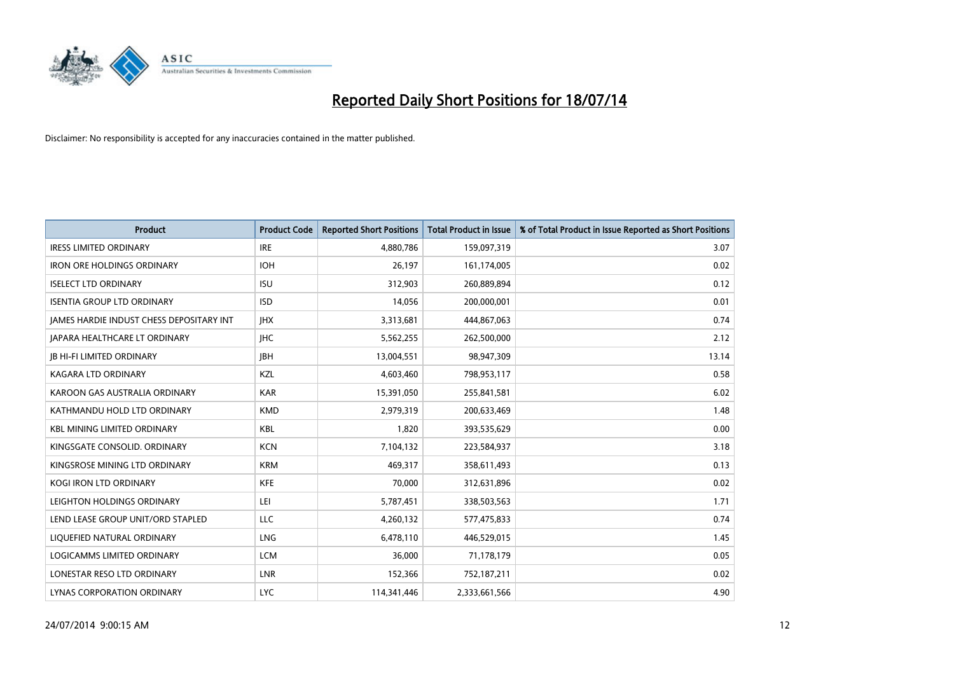

| <b>Product</b>                           | <b>Product Code</b> | <b>Reported Short Positions</b> | <b>Total Product in Issue</b> | % of Total Product in Issue Reported as Short Positions |
|------------------------------------------|---------------------|---------------------------------|-------------------------------|---------------------------------------------------------|
| <b>IRESS LIMITED ORDINARY</b>            | <b>IRE</b>          | 4,880,786                       | 159,097,319                   | 3.07                                                    |
| <b>IRON ORE HOLDINGS ORDINARY</b>        | <b>IOH</b>          | 26,197                          | 161,174,005                   | 0.02                                                    |
| <b>ISELECT LTD ORDINARY</b>              | <b>ISU</b>          | 312,903                         | 260,889,894                   | 0.12                                                    |
| <b>ISENTIA GROUP LTD ORDINARY</b>        | <b>ISD</b>          | 14,056                          | 200,000,001                   | 0.01                                                    |
| JAMES HARDIE INDUST CHESS DEPOSITARY INT | <b>IHX</b>          | 3,313,681                       | 444,867,063                   | 0.74                                                    |
| <b>JAPARA HEALTHCARE LT ORDINARY</b>     | <b>IHC</b>          | 5,562,255                       | 262,500,000                   | 2.12                                                    |
| <b>JB HI-FI LIMITED ORDINARY</b>         | <b>IBH</b>          | 13,004,551                      | 98,947,309                    | 13.14                                                   |
| KAGARA LTD ORDINARY                      | KZL                 | 4,603,460                       | 798,953,117                   | 0.58                                                    |
| KAROON GAS AUSTRALIA ORDINARY            | <b>KAR</b>          | 15,391,050                      | 255,841,581                   | 6.02                                                    |
| KATHMANDU HOLD LTD ORDINARY              | <b>KMD</b>          | 2,979,319                       | 200,633,469                   | 1.48                                                    |
| <b>KBL MINING LIMITED ORDINARY</b>       | <b>KBL</b>          | 1,820                           | 393,535,629                   | 0.00                                                    |
| KINGSGATE CONSOLID. ORDINARY             | <b>KCN</b>          | 7,104,132                       | 223,584,937                   | 3.18                                                    |
| KINGSROSE MINING LTD ORDINARY            | <b>KRM</b>          | 469,317                         | 358,611,493                   | 0.13                                                    |
| <b>KOGI IRON LTD ORDINARY</b>            | KFE                 | 70,000                          | 312,631,896                   | 0.02                                                    |
| LEIGHTON HOLDINGS ORDINARY               | LEI                 | 5,787,451                       | 338,503,563                   | 1.71                                                    |
| LEND LEASE GROUP UNIT/ORD STAPLED        | LLC                 | 4,260,132                       | 577,475,833                   | 0.74                                                    |
| LIQUEFIED NATURAL ORDINARY               | LNG                 | 6,478,110                       | 446,529,015                   | 1.45                                                    |
| <b>LOGICAMMS LIMITED ORDINARY</b>        | <b>LCM</b>          | 36,000                          | 71,178,179                    | 0.05                                                    |
| LONESTAR RESO LTD ORDINARY               | <b>LNR</b>          | 152,366                         | 752,187,211                   | 0.02                                                    |
| LYNAS CORPORATION ORDINARY               | <b>LYC</b>          | 114,341,446                     | 2,333,661,566                 | 4.90                                                    |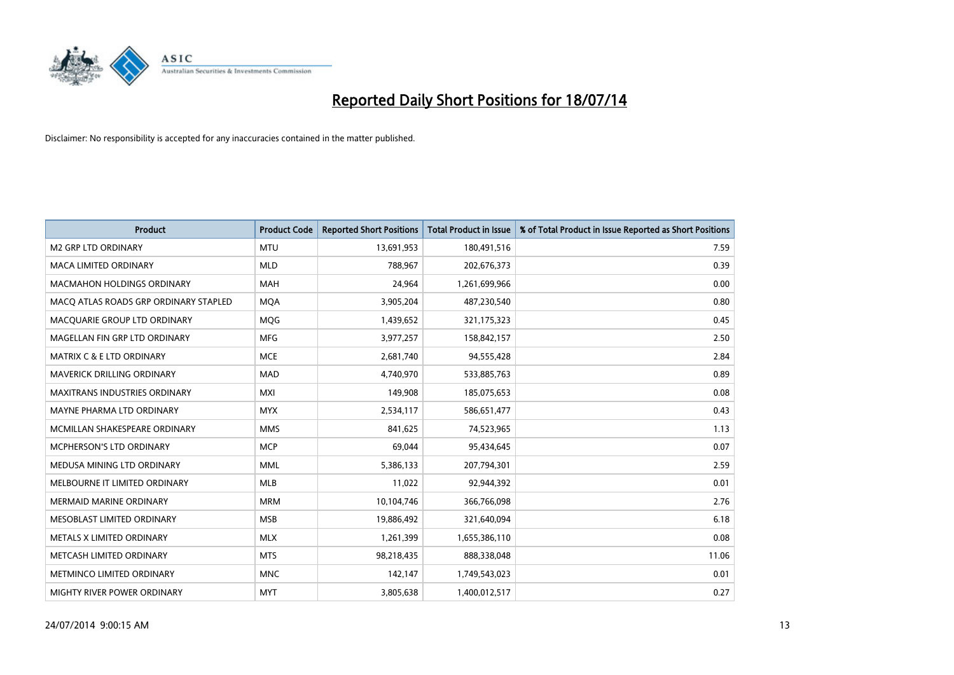

| <b>Product</b>                        | <b>Product Code</b> | <b>Reported Short Positions</b> | <b>Total Product in Issue</b> | % of Total Product in Issue Reported as Short Positions |
|---------------------------------------|---------------------|---------------------------------|-------------------------------|---------------------------------------------------------|
| <b>M2 GRP LTD ORDINARY</b>            | <b>MTU</b>          | 13,691,953                      | 180,491,516                   | 7.59                                                    |
| MACA LIMITED ORDINARY                 | <b>MLD</b>          | 788,967                         | 202,676,373                   | 0.39                                                    |
| <b>MACMAHON HOLDINGS ORDINARY</b>     | <b>MAH</b>          | 24,964                          | 1,261,699,966                 | 0.00                                                    |
| MACO ATLAS ROADS GRP ORDINARY STAPLED | <b>MQA</b>          | 3,905,204                       | 487,230,540                   | 0.80                                                    |
| MACQUARIE GROUP LTD ORDINARY          | <b>MOG</b>          | 1,439,652                       | 321,175,323                   | 0.45                                                    |
| MAGELLAN FIN GRP LTD ORDINARY         | <b>MFG</b>          | 3,977,257                       | 158,842,157                   | 2.50                                                    |
| <b>MATRIX C &amp; E LTD ORDINARY</b>  | <b>MCE</b>          | 2,681,740                       | 94,555,428                    | 2.84                                                    |
| MAVERICK DRILLING ORDINARY            | <b>MAD</b>          | 4,740,970                       | 533,885,763                   | 0.89                                                    |
| <b>MAXITRANS INDUSTRIES ORDINARY</b>  | <b>MXI</b>          | 149,908                         | 185,075,653                   | 0.08                                                    |
| MAYNE PHARMA LTD ORDINARY             | <b>MYX</b>          | 2,534,117                       | 586,651,477                   | 0.43                                                    |
| MCMILLAN SHAKESPEARE ORDINARY         | <b>MMS</b>          | 841,625                         | 74,523,965                    | 1.13                                                    |
| MCPHERSON'S LTD ORDINARY              | <b>MCP</b>          | 69,044                          | 95,434,645                    | 0.07                                                    |
| MEDUSA MINING LTD ORDINARY            | <b>MML</b>          | 5,386,133                       | 207,794,301                   | 2.59                                                    |
| MELBOURNE IT LIMITED ORDINARY         | <b>MLB</b>          | 11,022                          | 92,944,392                    | 0.01                                                    |
| <b>MERMAID MARINE ORDINARY</b>        | <b>MRM</b>          | 10,104,746                      | 366,766,098                   | 2.76                                                    |
| MESOBLAST LIMITED ORDINARY            | <b>MSB</b>          | 19,886,492                      | 321,640,094                   | 6.18                                                    |
| METALS X LIMITED ORDINARY             | <b>MLX</b>          | 1,261,399                       | 1,655,386,110                 | 0.08                                                    |
| METCASH LIMITED ORDINARY              | <b>MTS</b>          | 98,218,435                      | 888,338,048                   | 11.06                                                   |
| METMINCO LIMITED ORDINARY             | <b>MNC</b>          | 142,147                         | 1,749,543,023                 | 0.01                                                    |
| MIGHTY RIVER POWER ORDINARY           | <b>MYT</b>          | 3,805,638                       | 1,400,012,517                 | 0.27                                                    |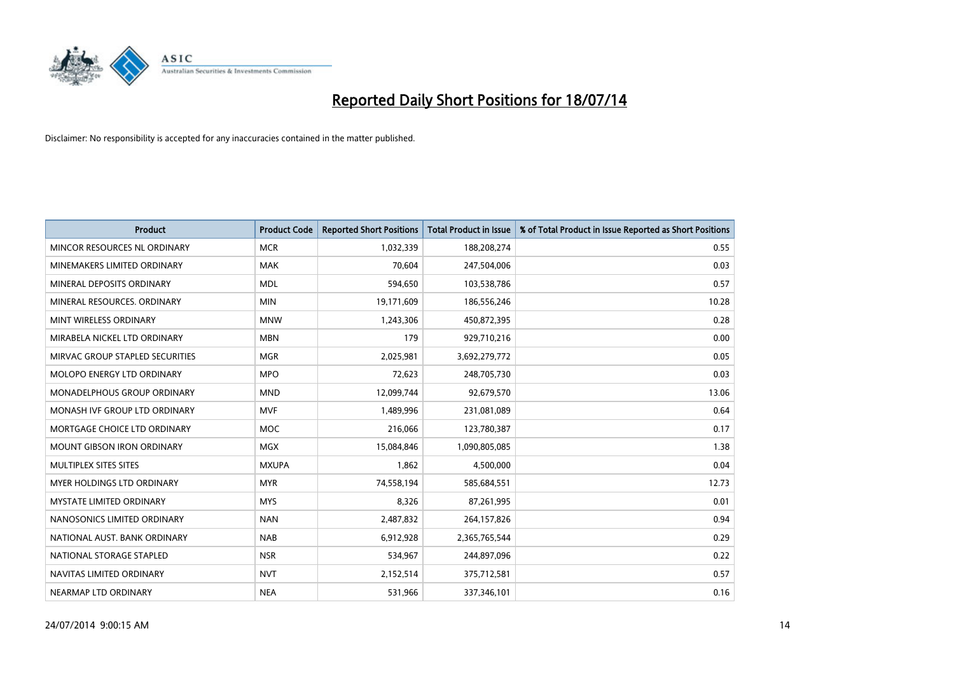

| <b>Product</b>                    | <b>Product Code</b> | <b>Reported Short Positions</b> | <b>Total Product in Issue</b> | % of Total Product in Issue Reported as Short Positions |
|-----------------------------------|---------------------|---------------------------------|-------------------------------|---------------------------------------------------------|
| MINCOR RESOURCES NL ORDINARY      | <b>MCR</b>          | 1,032,339                       | 188,208,274                   | 0.55                                                    |
| MINEMAKERS LIMITED ORDINARY       | MAK                 | 70,604                          | 247,504,006                   | 0.03                                                    |
| MINERAL DEPOSITS ORDINARY         | <b>MDL</b>          | 594,650                         | 103,538,786                   | 0.57                                                    |
| MINERAL RESOURCES. ORDINARY       | <b>MIN</b>          | 19,171,609                      | 186,556,246                   | 10.28                                                   |
| MINT WIRELESS ORDINARY            | <b>MNW</b>          | 1,243,306                       | 450,872,395                   | 0.28                                                    |
| MIRABELA NICKEL LTD ORDINARY      | <b>MBN</b>          | 179                             | 929,710,216                   | 0.00                                                    |
| MIRVAC GROUP STAPLED SECURITIES   | <b>MGR</b>          | 2,025,981                       | 3,692,279,772                 | 0.05                                                    |
| MOLOPO ENERGY LTD ORDINARY        | <b>MPO</b>          | 72,623                          | 248,705,730                   | 0.03                                                    |
| MONADELPHOUS GROUP ORDINARY       | <b>MND</b>          | 12,099,744                      | 92,679,570                    | 13.06                                                   |
| MONASH IVF GROUP LTD ORDINARY     | <b>MVF</b>          | 1,489,996                       | 231,081,089                   | 0.64                                                    |
| MORTGAGE CHOICE LTD ORDINARY      | MOC                 | 216,066                         | 123,780,387                   | 0.17                                                    |
| <b>MOUNT GIBSON IRON ORDINARY</b> | <b>MGX</b>          | 15,084,846                      | 1,090,805,085                 | 1.38                                                    |
| MULTIPLEX SITES SITES             | <b>MXUPA</b>        | 1,862                           | 4,500,000                     | 0.04                                                    |
| MYER HOLDINGS LTD ORDINARY        | <b>MYR</b>          | 74,558,194                      | 585,684,551                   | 12.73                                                   |
| <b>MYSTATE LIMITED ORDINARY</b>   | <b>MYS</b>          | 8,326                           | 87,261,995                    | 0.01                                                    |
| NANOSONICS LIMITED ORDINARY       | <b>NAN</b>          | 2,487,832                       | 264,157,826                   | 0.94                                                    |
| NATIONAL AUST. BANK ORDINARY      | <b>NAB</b>          | 6,912,928                       | 2,365,765,544                 | 0.29                                                    |
| NATIONAL STORAGE STAPLED          | <b>NSR</b>          | 534,967                         | 244,897,096                   | 0.22                                                    |
| NAVITAS LIMITED ORDINARY          | <b>NVT</b>          | 2,152,514                       | 375,712,581                   | 0.57                                                    |
| NEARMAP LTD ORDINARY              | <b>NEA</b>          | 531,966                         | 337,346,101                   | 0.16                                                    |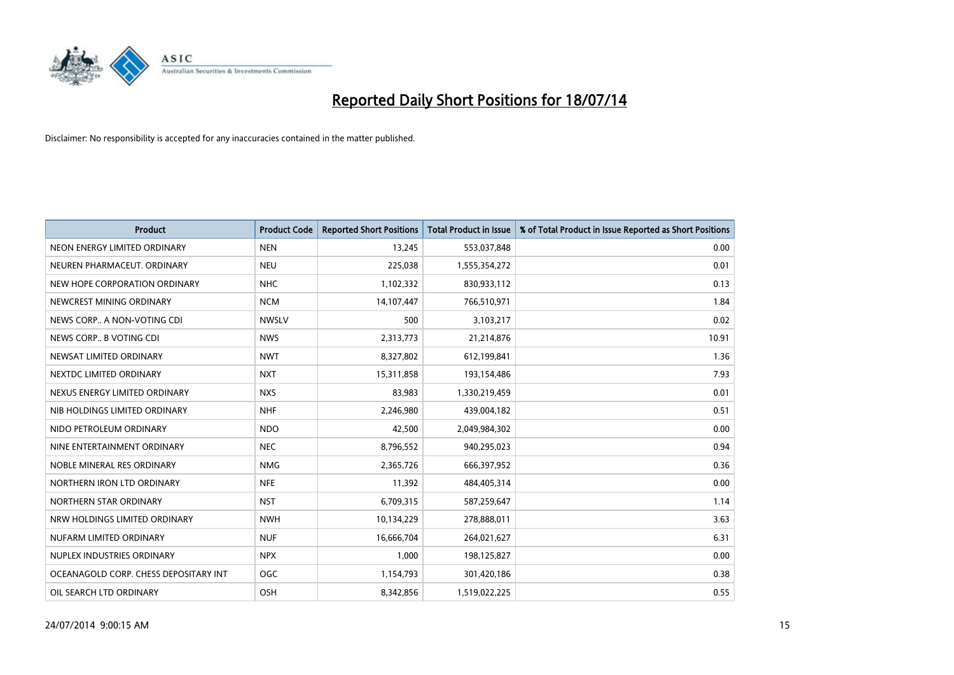

| <b>Product</b>                        | <b>Product Code</b> | <b>Reported Short Positions</b> | Total Product in Issue | % of Total Product in Issue Reported as Short Positions |
|---------------------------------------|---------------------|---------------------------------|------------------------|---------------------------------------------------------|
| NEON ENERGY LIMITED ORDINARY          | <b>NEN</b>          | 13,245                          | 553,037,848            | 0.00                                                    |
| NEUREN PHARMACEUT, ORDINARY           | <b>NEU</b>          | 225,038                         | 1,555,354,272          | 0.01                                                    |
| NEW HOPE CORPORATION ORDINARY         | <b>NHC</b>          | 1,102,332                       | 830,933,112            | 0.13                                                    |
| NEWCREST MINING ORDINARY              | <b>NCM</b>          | 14,107,447                      | 766,510,971            | 1.84                                                    |
| NEWS CORP A NON-VOTING CDI            | <b>NWSLV</b>        | 500                             | 3,103,217              | 0.02                                                    |
| NEWS CORP B VOTING CDI                | <b>NWS</b>          | 2,313,773                       | 21,214,876             | 10.91                                                   |
| NEWSAT LIMITED ORDINARY               | <b>NWT</b>          | 8,327,802                       | 612,199,841            | 1.36                                                    |
| NEXTDC LIMITED ORDINARY               | <b>NXT</b>          | 15,311,858                      | 193,154,486            | 7.93                                                    |
| NEXUS ENERGY LIMITED ORDINARY         | <b>NXS</b>          | 83,983                          | 1,330,219,459          | 0.01                                                    |
| NIB HOLDINGS LIMITED ORDINARY         | <b>NHF</b>          | 2,246,980                       | 439,004,182            | 0.51                                                    |
| NIDO PETROLEUM ORDINARY               | <b>NDO</b>          | 42,500                          | 2,049,984,302          | 0.00                                                    |
| NINE ENTERTAINMENT ORDINARY           | <b>NEC</b>          | 8,796,552                       | 940,295,023            | 0.94                                                    |
| NOBLE MINERAL RES ORDINARY            | <b>NMG</b>          | 2,365,726                       | 666,397,952            | 0.36                                                    |
| NORTHERN IRON LTD ORDINARY            | <b>NFE</b>          | 11,392                          | 484,405,314            | 0.00                                                    |
| NORTHERN STAR ORDINARY                | <b>NST</b>          | 6,709,315                       | 587,259,647            | 1.14                                                    |
| NRW HOLDINGS LIMITED ORDINARY         | <b>NWH</b>          | 10,134,229                      | 278,888,011            | 3.63                                                    |
| NUFARM LIMITED ORDINARY               | <b>NUF</b>          | 16,666,704                      | 264,021,627            | 6.31                                                    |
| NUPLEX INDUSTRIES ORDINARY            | <b>NPX</b>          | 1,000                           | 198,125,827            | 0.00                                                    |
| OCEANAGOLD CORP. CHESS DEPOSITARY INT | <b>OGC</b>          | 1,154,793                       | 301,420,186            | 0.38                                                    |
| OIL SEARCH LTD ORDINARY               | OSH                 | 8,342,856                       | 1,519,022,225          | 0.55                                                    |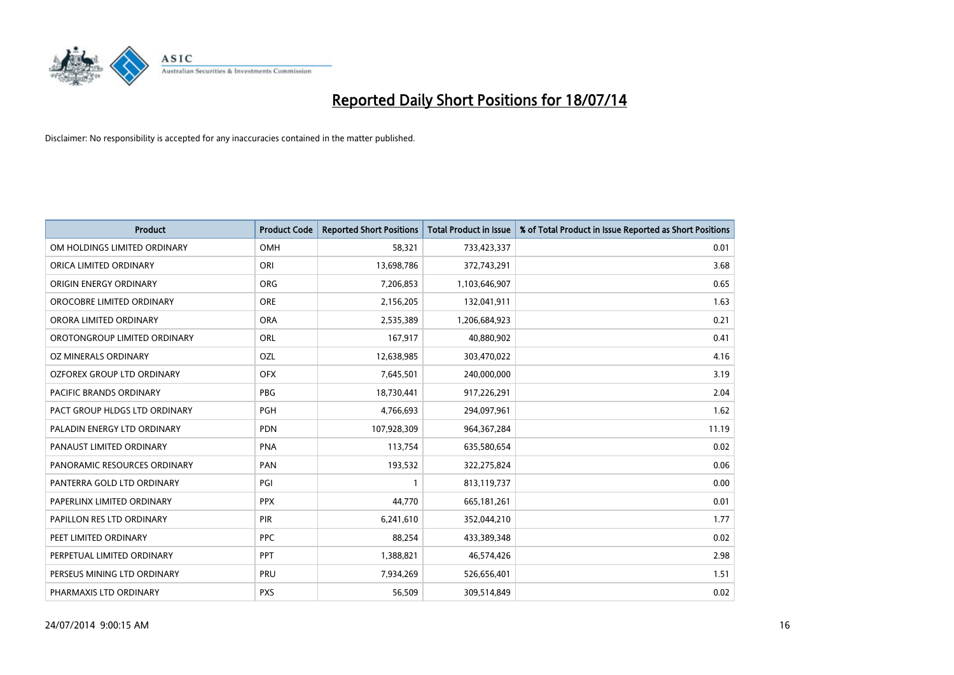

| <b>Product</b>                    | <b>Product Code</b> | <b>Reported Short Positions</b> | <b>Total Product in Issue</b> | % of Total Product in Issue Reported as Short Positions |
|-----------------------------------|---------------------|---------------------------------|-------------------------------|---------------------------------------------------------|
| OM HOLDINGS LIMITED ORDINARY      | OMH                 | 58,321                          | 733,423,337                   | 0.01                                                    |
| ORICA LIMITED ORDINARY            | ORI                 | 13,698,786                      | 372,743,291                   | 3.68                                                    |
| ORIGIN ENERGY ORDINARY            | <b>ORG</b>          | 7,206,853                       | 1,103,646,907                 | 0.65                                                    |
| OROCOBRE LIMITED ORDINARY         | <b>ORE</b>          | 2,156,205                       | 132,041,911                   | 1.63                                                    |
| ORORA LIMITED ORDINARY            | <b>ORA</b>          | 2,535,389                       | 1,206,684,923                 | 0.21                                                    |
| OROTONGROUP LIMITED ORDINARY      | ORL                 | 167,917                         | 40,880,902                    | 0.41                                                    |
| OZ MINERALS ORDINARY              | <b>OZL</b>          | 12,638,985                      | 303,470,022                   | 4.16                                                    |
| <b>OZFOREX GROUP LTD ORDINARY</b> | <b>OFX</b>          | 7,645,501                       | 240,000,000                   | 3.19                                                    |
| <b>PACIFIC BRANDS ORDINARY</b>    | <b>PBG</b>          | 18,730,441                      | 917,226,291                   | 2.04                                                    |
| PACT GROUP HLDGS LTD ORDINARY     | <b>PGH</b>          | 4,766,693                       | 294,097,961                   | 1.62                                                    |
| PALADIN ENERGY LTD ORDINARY       | <b>PDN</b>          | 107,928,309                     | 964, 367, 284                 | 11.19                                                   |
| PANAUST LIMITED ORDINARY          | <b>PNA</b>          | 113,754                         | 635,580,654                   | 0.02                                                    |
| PANORAMIC RESOURCES ORDINARY      | PAN                 | 193,532                         | 322,275,824                   | 0.06                                                    |
| PANTERRA GOLD LTD ORDINARY        | PGI                 | $\mathbf{1}$                    | 813,119,737                   | 0.00                                                    |
| PAPERLINX LIMITED ORDINARY        | <b>PPX</b>          | 44,770                          | 665, 181, 261                 | 0.01                                                    |
| PAPILLON RES LTD ORDINARY         | <b>PIR</b>          | 6,241,610                       | 352,044,210                   | 1.77                                                    |
| PEET LIMITED ORDINARY             | <b>PPC</b>          | 88,254                          | 433,389,348                   | 0.02                                                    |
| PERPETUAL LIMITED ORDINARY        | PPT                 | 1,388,821                       | 46,574,426                    | 2.98                                                    |
| PERSEUS MINING LTD ORDINARY       | PRU                 | 7,934,269                       | 526,656,401                   | 1.51                                                    |
| PHARMAXIS LTD ORDINARY            | <b>PXS</b>          | 56,509                          | 309,514,849                   | 0.02                                                    |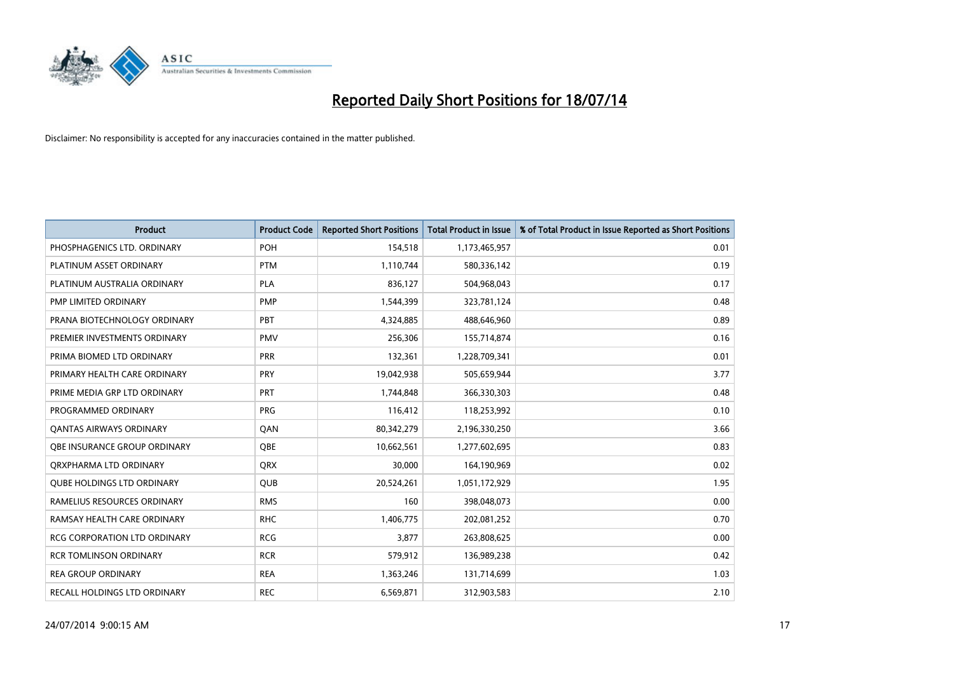

| <b>Product</b>                      | <b>Product Code</b> | <b>Reported Short Positions</b> | <b>Total Product in Issue</b> | % of Total Product in Issue Reported as Short Positions |
|-------------------------------------|---------------------|---------------------------------|-------------------------------|---------------------------------------------------------|
| PHOSPHAGENICS LTD. ORDINARY         | <b>POH</b>          | 154,518                         | 1,173,465,957                 | 0.01                                                    |
| PLATINUM ASSET ORDINARY             | <b>PTM</b>          | 1,110,744                       | 580,336,142                   | 0.19                                                    |
| PLATINUM AUSTRALIA ORDINARY         | <b>PLA</b>          | 836,127                         | 504,968,043                   | 0.17                                                    |
| PMP LIMITED ORDINARY                | <b>PMP</b>          | 1,544,399                       | 323,781,124                   | 0.48                                                    |
| PRANA BIOTECHNOLOGY ORDINARY        | <b>PBT</b>          | 4,324,885                       | 488,646,960                   | 0.89                                                    |
| PREMIER INVESTMENTS ORDINARY        | <b>PMV</b>          | 256,306                         | 155,714,874                   | 0.16                                                    |
| PRIMA BIOMED LTD ORDINARY           | <b>PRR</b>          | 132,361                         | 1,228,709,341                 | 0.01                                                    |
| PRIMARY HEALTH CARE ORDINARY        | <b>PRY</b>          | 19,042,938                      | 505,659,944                   | 3.77                                                    |
| PRIME MEDIA GRP LTD ORDINARY        | PRT                 | 1,744,848                       | 366,330,303                   | 0.48                                                    |
| PROGRAMMED ORDINARY                 | <b>PRG</b>          | 116,412                         | 118,253,992                   | 0.10                                                    |
| <b>QANTAS AIRWAYS ORDINARY</b>      | QAN                 | 80,342,279                      | 2,196,330,250                 | 3.66                                                    |
| <b>OBE INSURANCE GROUP ORDINARY</b> | OBE                 | 10,662,561                      | 1,277,602,695                 | 0.83                                                    |
| ORXPHARMA LTD ORDINARY              | <b>ORX</b>          | 30,000                          | 164,190,969                   | 0.02                                                    |
| <b>QUBE HOLDINGS LTD ORDINARY</b>   | <b>QUB</b>          | 20,524,261                      | 1,051,172,929                 | 1.95                                                    |
| RAMELIUS RESOURCES ORDINARY         | <b>RMS</b>          | 160                             | 398,048,073                   | 0.00                                                    |
| RAMSAY HEALTH CARE ORDINARY         | <b>RHC</b>          | 1,406,775                       | 202,081,252                   | 0.70                                                    |
| RCG CORPORATION LTD ORDINARY        | <b>RCG</b>          | 3,877                           | 263,808,625                   | 0.00                                                    |
| <b>RCR TOMLINSON ORDINARY</b>       | <b>RCR</b>          | 579,912                         | 136,989,238                   | 0.42                                                    |
| <b>REA GROUP ORDINARY</b>           | <b>REA</b>          | 1,363,246                       | 131,714,699                   | 1.03                                                    |
| RECALL HOLDINGS LTD ORDINARY        | <b>REC</b>          | 6,569,871                       | 312,903,583                   | 2.10                                                    |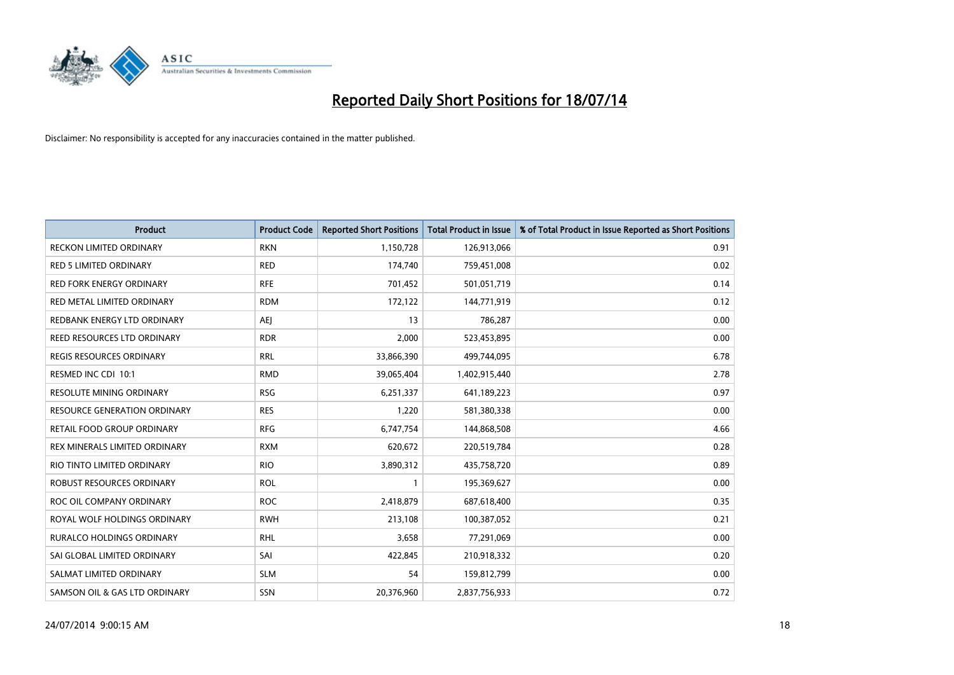

| <b>Product</b>                      | <b>Product Code</b> | <b>Reported Short Positions</b> | <b>Total Product in Issue</b> | % of Total Product in Issue Reported as Short Positions |
|-------------------------------------|---------------------|---------------------------------|-------------------------------|---------------------------------------------------------|
| <b>RECKON LIMITED ORDINARY</b>      | <b>RKN</b>          | 1,150,728                       | 126,913,066                   | 0.91                                                    |
| <b>RED 5 LIMITED ORDINARY</b>       | <b>RED</b>          | 174,740                         | 759,451,008                   | 0.02                                                    |
| <b>RED FORK ENERGY ORDINARY</b>     | <b>RFE</b>          | 701,452                         | 501,051,719                   | 0.14                                                    |
| RED METAL LIMITED ORDINARY          | <b>RDM</b>          | 172,122                         | 144,771,919                   | 0.12                                                    |
| REDBANK ENERGY LTD ORDINARY         | <b>AEI</b>          | 13                              | 786,287                       | 0.00                                                    |
| REED RESOURCES LTD ORDINARY         | <b>RDR</b>          | 2,000                           | 523,453,895                   | 0.00                                                    |
| REGIS RESOURCES ORDINARY            | <b>RRL</b>          | 33,866,390                      | 499,744,095                   | 6.78                                                    |
| RESMED INC CDI 10:1                 | <b>RMD</b>          | 39,065,404                      | 1,402,915,440                 | 2.78                                                    |
| <b>RESOLUTE MINING ORDINARY</b>     | <b>RSG</b>          | 6,251,337                       | 641,189,223                   | 0.97                                                    |
| <b>RESOURCE GENERATION ORDINARY</b> | <b>RES</b>          | 1,220                           | 581,380,338                   | 0.00                                                    |
| RETAIL FOOD GROUP ORDINARY          | <b>RFG</b>          | 6,747,754                       | 144,868,508                   | 4.66                                                    |
| REX MINERALS LIMITED ORDINARY       | <b>RXM</b>          | 620,672                         | 220,519,784                   | 0.28                                                    |
| RIO TINTO LIMITED ORDINARY          | <b>RIO</b>          | 3,890,312                       | 435,758,720                   | 0.89                                                    |
| ROBUST RESOURCES ORDINARY           | <b>ROL</b>          | $\mathbf{1}$                    | 195,369,627                   | 0.00                                                    |
| ROC OIL COMPANY ORDINARY            | <b>ROC</b>          | 2,418,879                       | 687,618,400                   | 0.35                                                    |
| ROYAL WOLF HOLDINGS ORDINARY        | <b>RWH</b>          | 213,108                         | 100,387,052                   | 0.21                                                    |
| RURALCO HOLDINGS ORDINARY           | <b>RHL</b>          | 3,658                           | 77,291,069                    | 0.00                                                    |
| SAI GLOBAL LIMITED ORDINARY         | SAI                 | 422,845                         | 210,918,332                   | 0.20                                                    |
| SALMAT LIMITED ORDINARY             | <b>SLM</b>          | 54                              | 159,812,799                   | 0.00                                                    |
| SAMSON OIL & GAS LTD ORDINARY       | SSN                 | 20,376,960                      | 2,837,756,933                 | 0.72                                                    |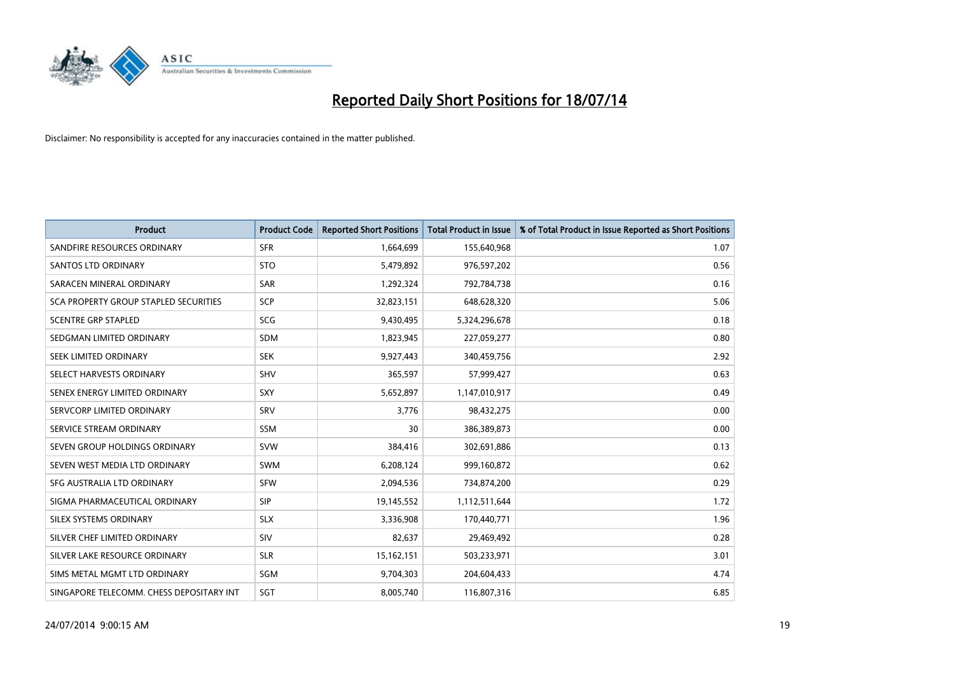

| <b>Product</b>                           | <b>Product Code</b> | <b>Reported Short Positions</b> | <b>Total Product in Issue</b> | % of Total Product in Issue Reported as Short Positions |
|------------------------------------------|---------------------|---------------------------------|-------------------------------|---------------------------------------------------------|
| SANDFIRE RESOURCES ORDINARY              | <b>SFR</b>          | 1,664,699                       | 155,640,968                   | 1.07                                                    |
| <b>SANTOS LTD ORDINARY</b>               | <b>STO</b>          | 5,479,892                       | 976,597,202                   | 0.56                                                    |
| SARACEN MINERAL ORDINARY                 | <b>SAR</b>          | 1,292,324                       | 792,784,738                   | 0.16                                                    |
| SCA PROPERTY GROUP STAPLED SECURITIES    | SCP                 | 32,823,151                      | 648,628,320                   | 5.06                                                    |
| <b>SCENTRE GRP STAPLED</b>               | <b>SCG</b>          | 9,430,495                       | 5,324,296,678                 | 0.18                                                    |
| SEDGMAN LIMITED ORDINARY                 | <b>SDM</b>          | 1,823,945                       | 227,059,277                   | 0.80                                                    |
| SEEK LIMITED ORDINARY                    | <b>SEK</b>          | 9,927,443                       | 340,459,756                   | 2.92                                                    |
| SELECT HARVESTS ORDINARY                 | SHV                 | 365,597                         | 57,999,427                    | 0.63                                                    |
| SENEX ENERGY LIMITED ORDINARY            | <b>SXY</b>          | 5,652,897                       | 1,147,010,917                 | 0.49                                                    |
| SERVCORP LIMITED ORDINARY                | SRV                 | 3,776                           | 98,432,275                    | 0.00                                                    |
| SERVICE STREAM ORDINARY                  | <b>SSM</b>          | 30                              | 386,389,873                   | 0.00                                                    |
| SEVEN GROUP HOLDINGS ORDINARY            | <b>SVW</b>          | 384,416                         | 302,691,886                   | 0.13                                                    |
| SEVEN WEST MEDIA LTD ORDINARY            | <b>SWM</b>          | 6,208,124                       | 999,160,872                   | 0.62                                                    |
| SFG AUSTRALIA LTD ORDINARY               | <b>SFW</b>          | 2,094,536                       | 734,874,200                   | 0.29                                                    |
| SIGMA PHARMACEUTICAL ORDINARY            | <b>SIP</b>          | 19,145,552                      | 1,112,511,644                 | 1.72                                                    |
| SILEX SYSTEMS ORDINARY                   | <b>SLX</b>          | 3,336,908                       | 170,440,771                   | 1.96                                                    |
| SILVER CHEF LIMITED ORDINARY             | SIV                 | 82,637                          | 29,469,492                    | 0.28                                                    |
| SILVER LAKE RESOURCE ORDINARY            | <b>SLR</b>          | 15,162,151                      | 503,233,971                   | 3.01                                                    |
| SIMS METAL MGMT LTD ORDINARY             | SGM                 | 9,704,303                       | 204,604,433                   | 4.74                                                    |
| SINGAPORE TELECOMM. CHESS DEPOSITARY INT | SGT                 | 8,005,740                       | 116,807,316                   | 6.85                                                    |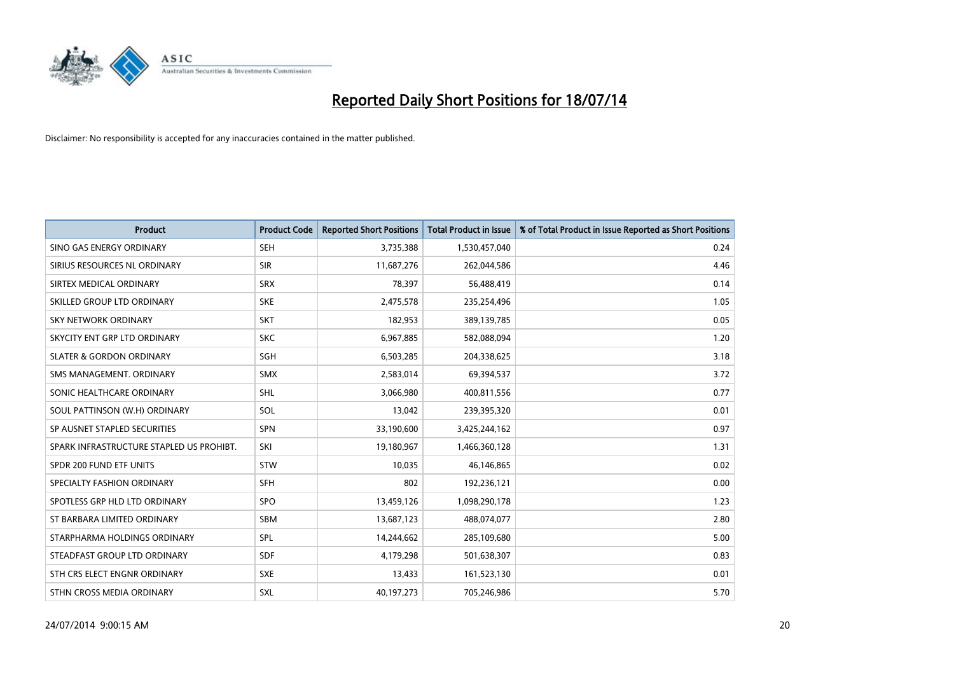

| <b>Product</b>                           | <b>Product Code</b> | <b>Reported Short Positions</b> | <b>Total Product in Issue</b> | % of Total Product in Issue Reported as Short Positions |
|------------------------------------------|---------------------|---------------------------------|-------------------------------|---------------------------------------------------------|
| SINO GAS ENERGY ORDINARY                 | <b>SEH</b>          | 3,735,388                       | 1,530,457,040                 | 0.24                                                    |
| SIRIUS RESOURCES NL ORDINARY             | <b>SIR</b>          | 11,687,276                      | 262,044,586                   | 4.46                                                    |
| SIRTEX MEDICAL ORDINARY                  | <b>SRX</b>          | 78,397                          | 56,488,419                    | 0.14                                                    |
| SKILLED GROUP LTD ORDINARY               | <b>SKE</b>          | 2,475,578                       | 235,254,496                   | 1.05                                                    |
| <b>SKY NETWORK ORDINARY</b>              | <b>SKT</b>          | 182,953                         | 389,139,785                   | 0.05                                                    |
| SKYCITY ENT GRP LTD ORDINARY             | <b>SKC</b>          | 6,967,885                       | 582,088,094                   | 1.20                                                    |
| <b>SLATER &amp; GORDON ORDINARY</b>      | <b>SGH</b>          | 6,503,285                       | 204,338,625                   | 3.18                                                    |
| SMS MANAGEMENT, ORDINARY                 | <b>SMX</b>          | 2,583,014                       | 69,394,537                    | 3.72                                                    |
| SONIC HEALTHCARE ORDINARY                | SHL                 | 3,066,980                       | 400,811,556                   | 0.77                                                    |
| SOUL PATTINSON (W.H) ORDINARY            | SOL                 | 13,042                          | 239,395,320                   | 0.01                                                    |
| SP AUSNET STAPLED SECURITIES             | SPN                 | 33,190,600                      | 3,425,244,162                 | 0.97                                                    |
| SPARK INFRASTRUCTURE STAPLED US PROHIBT. | SKI                 | 19,180,967                      | 1,466,360,128                 | 1.31                                                    |
| SPDR 200 FUND ETF UNITS                  | <b>STW</b>          | 10,035                          | 46,146,865                    | 0.02                                                    |
| SPECIALTY FASHION ORDINARY               | <b>SFH</b>          | 802                             | 192,236,121                   | 0.00                                                    |
| SPOTLESS GRP HLD LTD ORDINARY            | <b>SPO</b>          | 13,459,126                      | 1,098,290,178                 | 1.23                                                    |
| ST BARBARA LIMITED ORDINARY              | SBM                 | 13,687,123                      | 488,074,077                   | 2.80                                                    |
| STARPHARMA HOLDINGS ORDINARY             | SPL                 | 14,244,662                      | 285,109,680                   | 5.00                                                    |
| STEADFAST GROUP LTD ORDINARY             | <b>SDF</b>          | 4,179,298                       | 501,638,307                   | 0.83                                                    |
| STH CRS ELECT ENGNR ORDINARY             | <b>SXE</b>          | 13,433                          | 161,523,130                   | 0.01                                                    |
| STHN CROSS MEDIA ORDINARY                | <b>SXL</b>          | 40,197,273                      | 705,246,986                   | 5.70                                                    |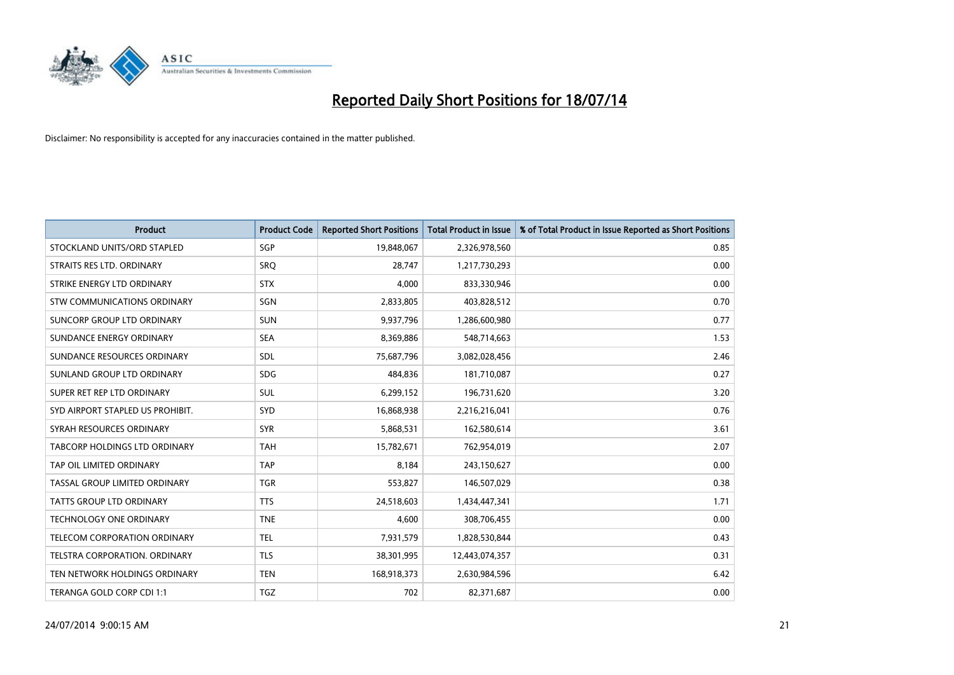

| <b>Product</b>                       | <b>Product Code</b> | <b>Reported Short Positions</b> | <b>Total Product in Issue</b> | % of Total Product in Issue Reported as Short Positions |
|--------------------------------------|---------------------|---------------------------------|-------------------------------|---------------------------------------------------------|
| STOCKLAND UNITS/ORD STAPLED          | SGP                 | 19,848,067                      | 2,326,978,560                 | 0.85                                                    |
| STRAITS RES LTD. ORDINARY            | <b>SRO</b>          | 28,747                          | 1,217,730,293                 | 0.00                                                    |
| STRIKE ENERGY LTD ORDINARY           | <b>STX</b>          | 4.000                           | 833,330,946                   | 0.00                                                    |
| <b>STW COMMUNICATIONS ORDINARY</b>   | SGN                 | 2,833,805                       | 403,828,512                   | 0.70                                                    |
| SUNCORP GROUP LTD ORDINARY           | <b>SUN</b>          | 9,937,796                       | 1,286,600,980                 | 0.77                                                    |
| SUNDANCE ENERGY ORDINARY             | <b>SEA</b>          | 8,369,886                       | 548,714,663                   | 1.53                                                    |
| SUNDANCE RESOURCES ORDINARY          | <b>SDL</b>          | 75,687,796                      | 3,082,028,456                 | 2.46                                                    |
| SUNLAND GROUP LTD ORDINARY           | <b>SDG</b>          | 484,836                         | 181,710,087                   | 0.27                                                    |
| SUPER RET REP LTD ORDINARY           | <b>SUL</b>          | 6,299,152                       | 196,731,620                   | 3.20                                                    |
| SYD AIRPORT STAPLED US PROHIBIT.     | SYD                 | 16,868,938                      | 2,216,216,041                 | 0.76                                                    |
| SYRAH RESOURCES ORDINARY             | <b>SYR</b>          | 5,868,531                       | 162,580,614                   | 3.61                                                    |
| <b>TABCORP HOLDINGS LTD ORDINARY</b> | <b>TAH</b>          | 15,782,671                      | 762,954,019                   | 2.07                                                    |
| TAP OIL LIMITED ORDINARY             | <b>TAP</b>          | 8,184                           | 243,150,627                   | 0.00                                                    |
| TASSAL GROUP LIMITED ORDINARY        | <b>TGR</b>          | 553,827                         | 146,507,029                   | 0.38                                                    |
| <b>TATTS GROUP LTD ORDINARY</b>      | <b>TTS</b>          | 24,518,603                      | 1,434,447,341                 | 1.71                                                    |
| TECHNOLOGY ONE ORDINARY              | <b>TNE</b>          | 4,600                           | 308,706,455                   | 0.00                                                    |
| TELECOM CORPORATION ORDINARY         | <b>TEL</b>          | 7,931,579                       | 1,828,530,844                 | 0.43                                                    |
| TELSTRA CORPORATION. ORDINARY        | <b>TLS</b>          | 38,301,995                      | 12,443,074,357                | 0.31                                                    |
| TEN NETWORK HOLDINGS ORDINARY        | <b>TEN</b>          | 168,918,373                     | 2,630,984,596                 | 6.42                                                    |
| TERANGA GOLD CORP CDI 1:1            | <b>TGZ</b>          | 702                             | 82,371,687                    | 0.00                                                    |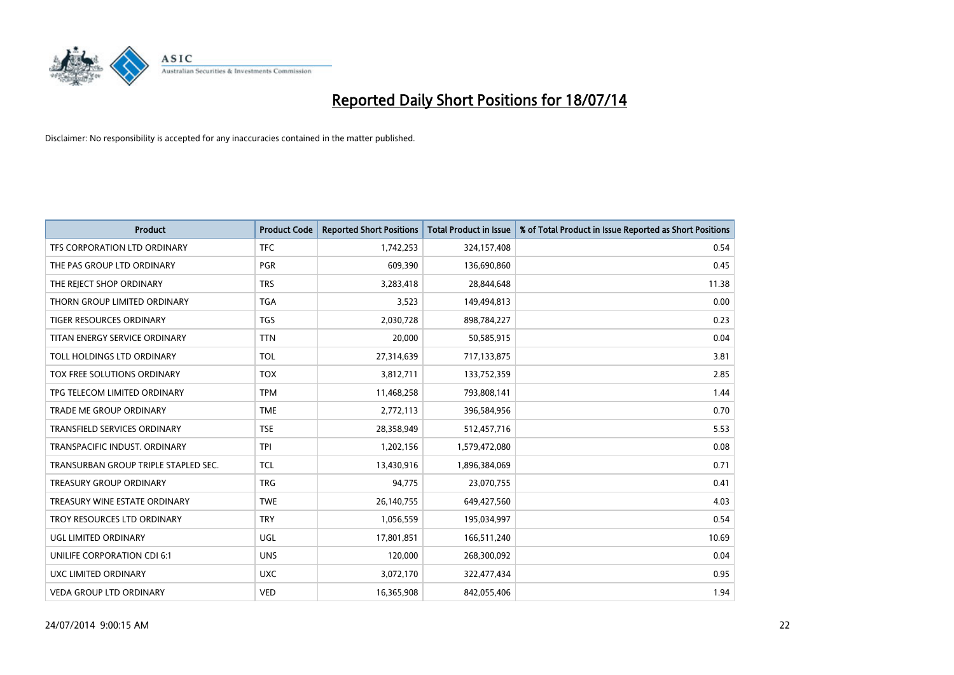

| <b>Product</b>                       | <b>Product Code</b> | <b>Reported Short Positions</b> | <b>Total Product in Issue</b> | % of Total Product in Issue Reported as Short Positions |
|--------------------------------------|---------------------|---------------------------------|-------------------------------|---------------------------------------------------------|
| TFS CORPORATION LTD ORDINARY         | <b>TFC</b>          | 1,742,253                       | 324,157,408                   | 0.54                                                    |
| THE PAS GROUP LTD ORDINARY           | <b>PGR</b>          | 609,390                         | 136,690,860                   | 0.45                                                    |
| THE REJECT SHOP ORDINARY             | <b>TRS</b>          | 3,283,418                       | 28,844,648                    | 11.38                                                   |
| THORN GROUP LIMITED ORDINARY         | <b>TGA</b>          | 3,523                           | 149,494,813                   | 0.00                                                    |
| <b>TIGER RESOURCES ORDINARY</b>      | <b>TGS</b>          | 2,030,728                       | 898,784,227                   | 0.23                                                    |
| TITAN ENERGY SERVICE ORDINARY        | <b>TTN</b>          | 20,000                          | 50,585,915                    | 0.04                                                    |
| TOLL HOLDINGS LTD ORDINARY           | <b>TOL</b>          | 27,314,639                      | 717,133,875                   | 3.81                                                    |
| TOX FREE SOLUTIONS ORDINARY          | <b>TOX</b>          | 3,812,711                       | 133,752,359                   | 2.85                                                    |
| TPG TELECOM LIMITED ORDINARY         | <b>TPM</b>          | 11,468,258                      | 793,808,141                   | 1.44                                                    |
| <b>TRADE ME GROUP ORDINARY</b>       | <b>TME</b>          | 2,772,113                       | 396,584,956                   | 0.70                                                    |
| TRANSFIELD SERVICES ORDINARY         | <b>TSE</b>          | 28,358,949                      | 512,457,716                   | 5.53                                                    |
| TRANSPACIFIC INDUST, ORDINARY        | <b>TPI</b>          | 1,202,156                       | 1,579,472,080                 | 0.08                                                    |
| TRANSURBAN GROUP TRIPLE STAPLED SEC. | <b>TCL</b>          | 13,430,916                      | 1,896,384,069                 | 0.71                                                    |
| <b>TREASURY GROUP ORDINARY</b>       | <b>TRG</b>          | 94,775                          | 23,070,755                    | 0.41                                                    |
| TREASURY WINE ESTATE ORDINARY        | <b>TWE</b>          | 26,140,755                      | 649,427,560                   | 4.03                                                    |
| TROY RESOURCES LTD ORDINARY          | <b>TRY</b>          | 1,056,559                       | 195,034,997                   | 0.54                                                    |
| UGL LIMITED ORDINARY                 | UGL                 | 17,801,851                      | 166,511,240                   | 10.69                                                   |
| UNILIFE CORPORATION CDI 6:1          | <b>UNS</b>          | 120,000                         | 268,300,092                   | 0.04                                                    |
| UXC LIMITED ORDINARY                 | <b>UXC</b>          | 3,072,170                       | 322,477,434                   | 0.95                                                    |
| <b>VEDA GROUP LTD ORDINARY</b>       | <b>VED</b>          | 16,365,908                      | 842,055,406                   | 1.94                                                    |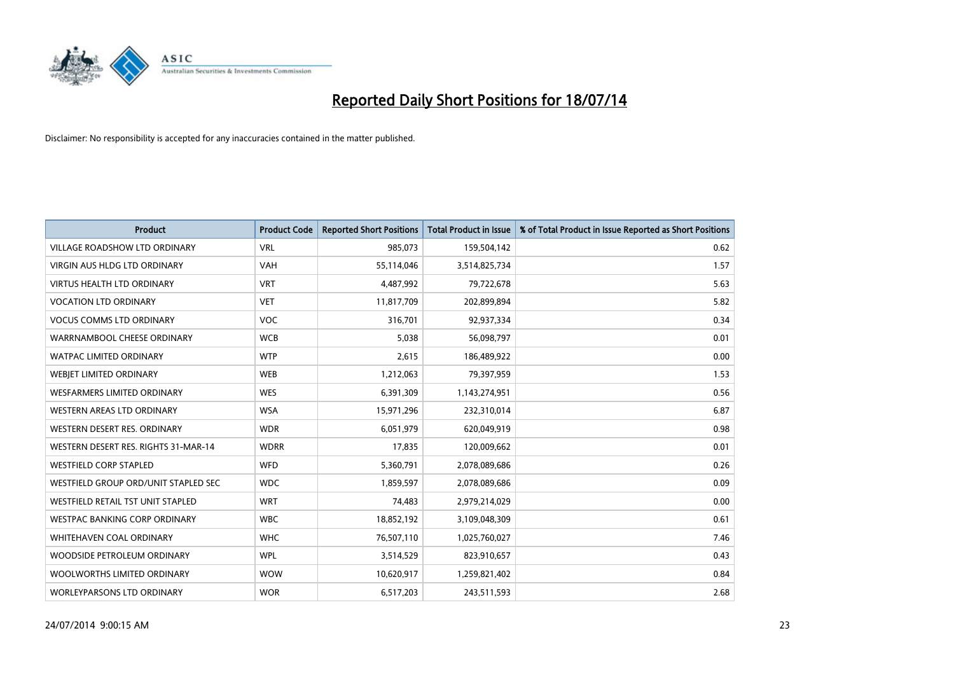

| <b>Product</b>                       | <b>Product Code</b> | <b>Reported Short Positions</b> | <b>Total Product in Issue</b> | % of Total Product in Issue Reported as Short Positions |
|--------------------------------------|---------------------|---------------------------------|-------------------------------|---------------------------------------------------------|
| <b>VILLAGE ROADSHOW LTD ORDINARY</b> | <b>VRL</b>          | 985,073                         | 159,504,142                   | 0.62                                                    |
| <b>VIRGIN AUS HLDG LTD ORDINARY</b>  | <b>VAH</b>          | 55,114,046                      | 3,514,825,734                 | 1.57                                                    |
| <b>VIRTUS HEALTH LTD ORDINARY</b>    | <b>VRT</b>          | 4,487,992                       | 79,722,678                    | 5.63                                                    |
| <b>VOCATION LTD ORDINARY</b>         | <b>VET</b>          | 11,817,709                      | 202,899,894                   | 5.82                                                    |
| <b>VOCUS COMMS LTD ORDINARY</b>      | <b>VOC</b>          | 316,701                         | 92,937,334                    | 0.34                                                    |
| WARRNAMBOOL CHEESE ORDINARY          | <b>WCB</b>          | 5,038                           | 56,098,797                    | 0.01                                                    |
| <b>WATPAC LIMITED ORDINARY</b>       | <b>WTP</b>          | 2,615                           | 186,489,922                   | 0.00                                                    |
| WEBJET LIMITED ORDINARY              | <b>WEB</b>          | 1,212,063                       | 79,397,959                    | 1.53                                                    |
| <b>WESFARMERS LIMITED ORDINARY</b>   | <b>WES</b>          | 6,391,309                       | 1,143,274,951                 | 0.56                                                    |
| <b>WESTERN AREAS LTD ORDINARY</b>    | <b>WSA</b>          | 15,971,296                      | 232,310,014                   | 6.87                                                    |
| WESTERN DESERT RES. ORDINARY         | <b>WDR</b>          | 6,051,979                       | 620,049,919                   | 0.98                                                    |
| WESTERN DESERT RES. RIGHTS 31-MAR-14 | <b>WDRR</b>         | 17,835                          | 120,009,662                   | 0.01                                                    |
| <b>WESTFIELD CORP STAPLED</b>        | <b>WFD</b>          | 5,360,791                       | 2,078,089,686                 | 0.26                                                    |
| WESTFIELD GROUP ORD/UNIT STAPLED SEC | <b>WDC</b>          | 1,859,597                       | 2,078,089,686                 | 0.09                                                    |
| WESTFIELD RETAIL TST UNIT STAPLED    | <b>WRT</b>          | 74,483                          | 2,979,214,029                 | 0.00                                                    |
| <b>WESTPAC BANKING CORP ORDINARY</b> | <b>WBC</b>          | 18,852,192                      | 3,109,048,309                 | 0.61                                                    |
| WHITEHAVEN COAL ORDINARY             | <b>WHC</b>          | 76,507,110                      | 1,025,760,027                 | 7.46                                                    |
| WOODSIDE PETROLEUM ORDINARY          | <b>WPL</b>          | 3,514,529                       | 823,910,657                   | 0.43                                                    |
| WOOLWORTHS LIMITED ORDINARY          | <b>WOW</b>          | 10,620,917                      | 1,259,821,402                 | 0.84                                                    |
| WORLEYPARSONS LTD ORDINARY           | <b>WOR</b>          | 6,517,203                       | 243,511,593                   | 2.68                                                    |